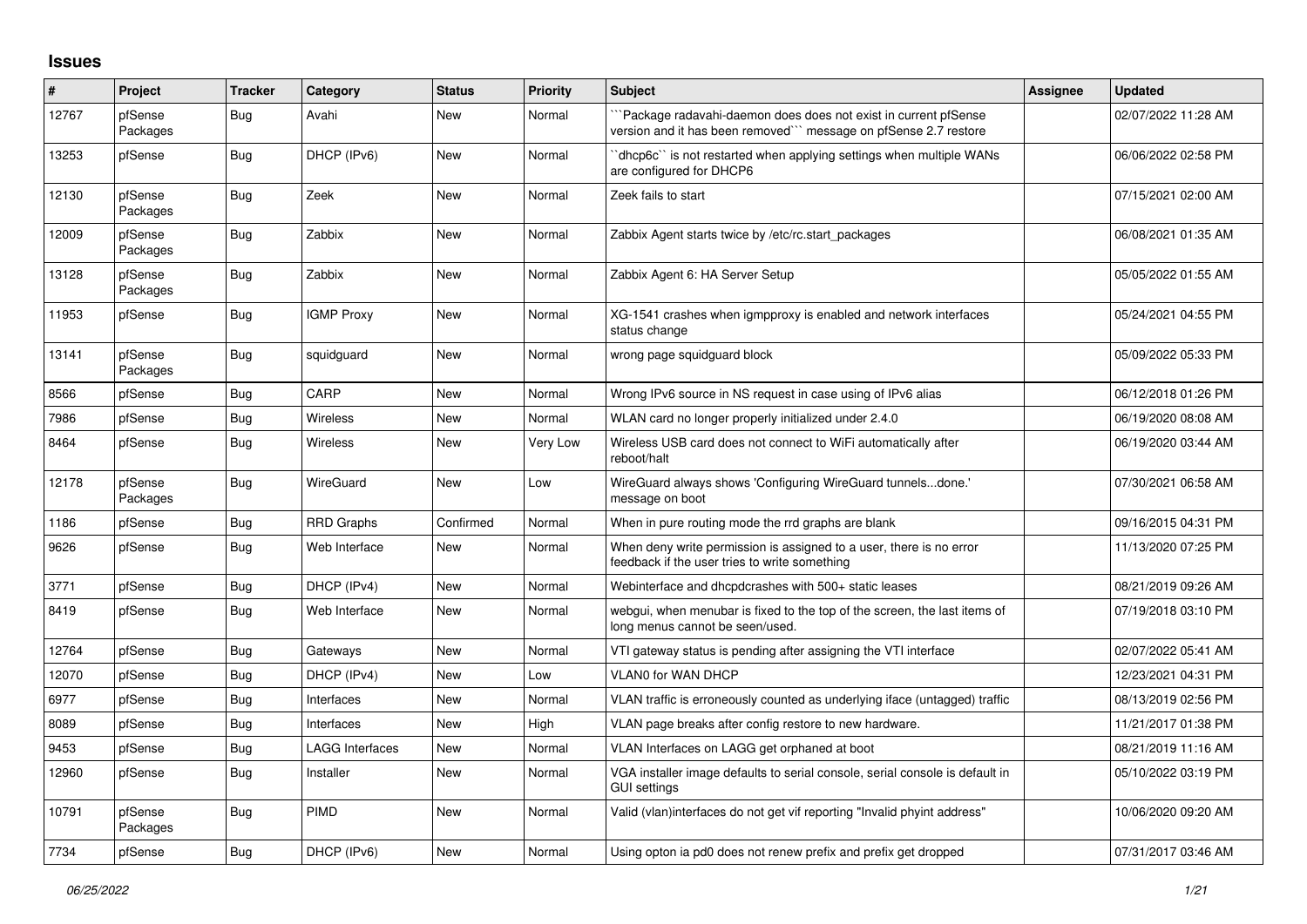## **Issues**

| #     | Project             | <b>Tracker</b> | Category               | <b>Status</b> | <b>Priority</b> | <b>Subject</b>                                                                                                                      | Assignee | <b>Updated</b>      |
|-------|---------------------|----------------|------------------------|---------------|-----------------|-------------------------------------------------------------------------------------------------------------------------------------|----------|---------------------|
| 12767 | pfSense<br>Packages | Bug            | Avahi                  | <b>New</b>    | Normal          | Package radavahi-daemon does does not exist in current pfSense<br>version and it has been removed``` message on pfSense 2.7 restore |          | 02/07/2022 11:28 AM |
| 13253 | pfSense             | <b>Bug</b>     | DHCP (IPv6)            | <b>New</b>    | Normal          | dhcp6c" is not restarted when applying settings when multiple WANs<br>are configured for DHCP6                                      |          | 06/06/2022 02:58 PM |
| 12130 | pfSense<br>Packages | Bug            | Zeek                   | <b>New</b>    | Normal          | Zeek fails to start                                                                                                                 |          | 07/15/2021 02:00 AM |
| 12009 | pfSense<br>Packages | Bug            | Zabbix                 | <b>New</b>    | Normal          | Zabbix Agent starts twice by /etc/rc.start_packages                                                                                 |          | 06/08/2021 01:35 AM |
| 13128 | pfSense<br>Packages | Bug            | Zabbix                 | <b>New</b>    | Normal          | Zabbix Agent 6: HA Server Setup                                                                                                     |          | 05/05/2022 01:55 AM |
| 11953 | pfSense             | Bug            | <b>IGMP Proxy</b>      | New           | Normal          | XG-1541 crashes when igmpproxy is enabled and network interfaces<br>status change                                                   |          | 05/24/2021 04:55 PM |
| 13141 | pfSense<br>Packages | Bug            | squidguard             | <b>New</b>    | Normal          | wrong page squidguard block                                                                                                         |          | 05/09/2022 05:33 PM |
| 8566  | pfSense             | <b>Bug</b>     | CARP                   | <b>New</b>    | Normal          | Wrong IPv6 source in NS request in case using of IPv6 alias                                                                         |          | 06/12/2018 01:26 PM |
| 7986  | pfSense             | <b>Bug</b>     | Wireless               | <b>New</b>    | Normal          | WLAN card no longer properly initialized under 2.4.0                                                                                |          | 06/19/2020 08:08 AM |
| 8464  | pfSense             | <b>Bug</b>     | Wireless               | <b>New</b>    | Very Low        | Wireless USB card does not connect to WiFi automatically after<br>reboot/halt                                                       |          | 06/19/2020 03:44 AM |
| 12178 | pfSense<br>Packages | <b>Bug</b>     | WireGuard              | <b>New</b>    | Low             | WireGuard always shows 'Configuring WireGuard tunnelsdone.'<br>message on boot                                                      |          | 07/30/2021 06:58 AM |
| 1186  | pfSense             | <b>Bug</b>     | <b>RRD Graphs</b>      | Confirmed     | Normal          | When in pure routing mode the rrd graphs are blank                                                                                  |          | 09/16/2015 04:31 PM |
| 9626  | pfSense             | Bug            | Web Interface          | New           | Normal          | When deny write permission is assigned to a user, there is no error<br>feedback if the user tries to write something                |          | 11/13/2020 07:25 PM |
| 3771  | pfSense             | Bug            | DHCP (IPv4)            | <b>New</b>    | Normal          | Webinterface and dhcpdcrashes with 500+ static leases                                                                               |          | 08/21/2019 09:26 AM |
| 8419  | pfSense             | Bug            | Web Interface          | <b>New</b>    | Normal          | webgui, when menubar is fixed to the top of the screen, the last items of<br>long menus cannot be seen/used.                        |          | 07/19/2018 03:10 PM |
| 12764 | pfSense             | Bug            | Gateways               | <b>New</b>    | Normal          | VTI gateway status is pending after assigning the VTI interface                                                                     |          | 02/07/2022 05:41 AM |
| 12070 | pfSense             | <b>Bug</b>     | DHCP (IPv4)            | <b>New</b>    | Low             | <b>VLAN0 for WAN DHCP</b>                                                                                                           |          | 12/23/2021 04:31 PM |
| 6977  | pfSense             | <b>Bug</b>     | Interfaces             | <b>New</b>    | Normal          | VLAN traffic is erroneously counted as underlying iface (untagged) traffic                                                          |          | 08/13/2019 02:56 PM |
| 8089  | pfSense             | Bug            | Interfaces             | <b>New</b>    | High            | VLAN page breaks after config restore to new hardware.                                                                              |          | 11/21/2017 01:38 PM |
| 9453  | pfSense             | <b>Bug</b>     | <b>LAGG Interfaces</b> | <b>New</b>    | Normal          | VLAN Interfaces on LAGG get orphaned at boot                                                                                        |          | 08/21/2019 11:16 AM |
| 12960 | pfSense             | <b>Bug</b>     | Installer              | <b>New</b>    | Normal          | VGA installer image defaults to serial console, serial console is default in<br><b>GUI settings</b>                                 |          | 05/10/2022 03:19 PM |
| 10791 | pfSense<br>Packages | Bug            | PIMD                   | <b>New</b>    | Normal          | Valid (vlan)interfaces do not get vif reporting "Invalid phyint address"                                                            |          | 10/06/2020 09:20 AM |
| 7734  | pfSense             | Bug            | DHCP (IPv6)            | New           | Normal          | Using opton ia pd0 does not renew prefix and prefix get dropped                                                                     |          | 07/31/2017 03:46 AM |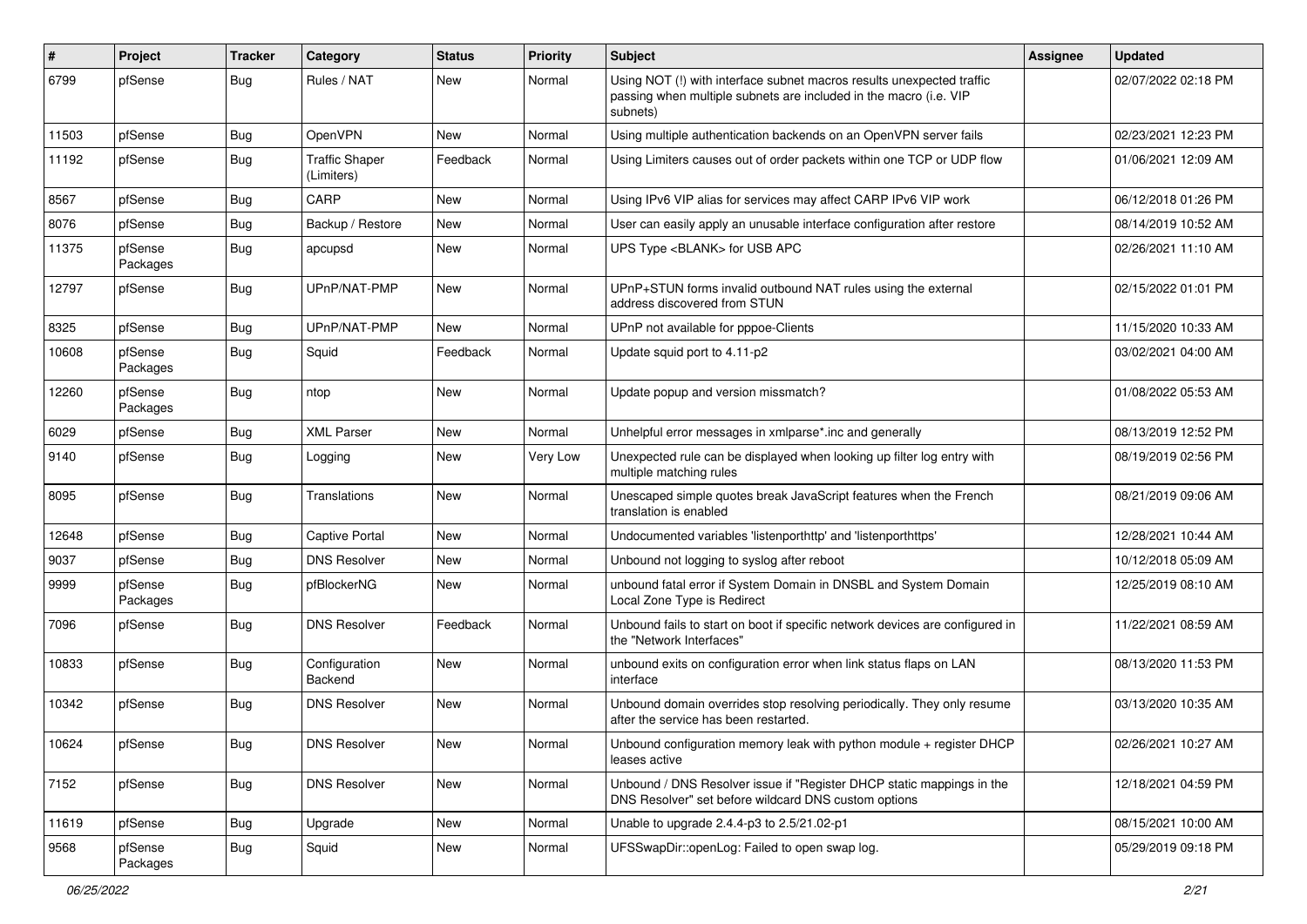| $\#$  | Project             | <b>Tracker</b> | Category                            | <b>Status</b> | <b>Priority</b> | <b>Subject</b>                                                                                                                                         | <b>Assignee</b> | <b>Updated</b>      |
|-------|---------------------|----------------|-------------------------------------|---------------|-----------------|--------------------------------------------------------------------------------------------------------------------------------------------------------|-----------------|---------------------|
| 6799  | pfSense             | Bug            | Rules / NAT                         | New           | Normal          | Using NOT (!) with interface subnet macros results unexpected traffic<br>passing when multiple subnets are included in the macro (i.e. VIP<br>subnets) |                 | 02/07/2022 02:18 PM |
| 11503 | pfSense             | Bug            | OpenVPN                             | New           | Normal          | Using multiple authentication backends on an OpenVPN server fails                                                                                      |                 | 02/23/2021 12:23 PM |
| 11192 | pfSense             | <b>Bug</b>     | <b>Traffic Shaper</b><br>(Limiters) | Feedback      | Normal          | Using Limiters causes out of order packets within one TCP or UDP flow                                                                                  |                 | 01/06/2021 12:09 AM |
| 8567  | pfSense             | <b>Bug</b>     | CARP                                | <b>New</b>    | Normal          | Using IPv6 VIP alias for services may affect CARP IPv6 VIP work                                                                                        |                 | 06/12/2018 01:26 PM |
| 8076  | pfSense             | Bug            | Backup / Restore                    | New           | Normal          | User can easily apply an unusable interface configuration after restore                                                                                |                 | 08/14/2019 10:52 AM |
| 11375 | pfSense<br>Packages | <b>Bug</b>     | apcupsd                             | New           | Normal          | UPS Type <blank> for USB APC</blank>                                                                                                                   |                 | 02/26/2021 11:10 AM |
| 12797 | pfSense             | Bug            | UPnP/NAT-PMP                        | <b>New</b>    | Normal          | UPnP+STUN forms invalid outbound NAT rules using the external<br>address discovered from STUN                                                          |                 | 02/15/2022 01:01 PM |
| 8325  | pfSense             | <b>Bug</b>     | UPnP/NAT-PMP                        | <b>New</b>    | Normal          | UPnP not available for pppoe-Clients                                                                                                                   |                 | 11/15/2020 10:33 AM |
| 10608 | pfSense<br>Packages | Bug            | Squid                               | Feedback      | Normal          | Update squid port to 4.11-p2                                                                                                                           |                 | 03/02/2021 04:00 AM |
| 12260 | pfSense<br>Packages | Bug            | ntop                                | <b>New</b>    | Normal          | Update popup and version missmatch?                                                                                                                    |                 | 01/08/2022 05:53 AM |
| 6029  | pfSense             | <b>Bug</b>     | <b>XML Parser</b>                   | New           | Normal          | Unhelpful error messages in xmlparse*.inc and generally                                                                                                |                 | 08/13/2019 12:52 PM |
| 9140  | pfSense             | <b>Bug</b>     | Logging                             | <b>New</b>    | <b>Very Low</b> | Unexpected rule can be displayed when looking up filter log entry with<br>multiple matching rules                                                      |                 | 08/19/2019 02:56 PM |
| 8095  | pfSense             | Bug            | Translations                        | <b>New</b>    | Normal          | Unescaped simple quotes break JavaScript features when the French<br>translation is enabled                                                            |                 | 08/21/2019 09:06 AM |
| 12648 | pfSense             | Bug            | Captive Portal                      | New           | Normal          | Undocumented variables 'listenporthttp' and 'listenporthttps'                                                                                          |                 | 12/28/2021 10:44 AM |
| 9037  | pfSense             | <b>Bug</b>     | <b>DNS Resolver</b>                 | New           | Normal          | Unbound not logging to syslog after reboot                                                                                                             |                 | 10/12/2018 05:09 AM |
| 9999  | pfSense<br>Packages | Bug            | pfBlockerNG                         | <b>New</b>    | Normal          | unbound fatal error if System Domain in DNSBL and System Domain<br>Local Zone Type is Redirect                                                         |                 | 12/25/2019 08:10 AM |
| 7096  | pfSense             | Bug            | <b>DNS Resolver</b>                 | Feedback      | Normal          | Unbound fails to start on boot if specific network devices are configured in<br>the "Network Interfaces"                                               |                 | 11/22/2021 08:59 AM |
| 10833 | pfSense             | <b>Bug</b>     | Configuration<br>Backend            | New           | Normal          | unbound exits on configuration error when link status flaps on LAN<br>interface                                                                        |                 | 08/13/2020 11:53 PM |
| 10342 | pfSense             | <b>Bug</b>     | <b>DNS Resolver</b>                 | <b>New</b>    | Normal          | Unbound domain overrides stop resolving periodically. They only resume<br>after the service has been restarted.                                        |                 | 03/13/2020 10:35 AM |
| 10624 | pfSense             | <b>Bug</b>     | <b>DNS Resolver</b>                 | New           | Normal          | Unbound configuration memory leak with python module $+$ register DHCP<br>leases active                                                                |                 | 02/26/2021 10:27 AM |
| 7152  | pfSense             | Bug            | <b>DNS Resolver</b>                 | New           | Normal          | Unbound / DNS Resolver issue if "Register DHCP static mappings in the<br>DNS Resolver" set before wildcard DNS custom options                          |                 | 12/18/2021 04:59 PM |
| 11619 | pfSense             | <b>Bug</b>     | Upgrade                             | New           | Normal          | Unable to upgrade 2.4.4-p3 to 2.5/21.02-p1                                                                                                             |                 | 08/15/2021 10:00 AM |
| 9568  | pfSense<br>Packages | <b>Bug</b>     | Squid                               | New           | Normal          | UFSSwapDir::openLog: Failed to open swap log.                                                                                                          |                 | 05/29/2019 09:18 PM |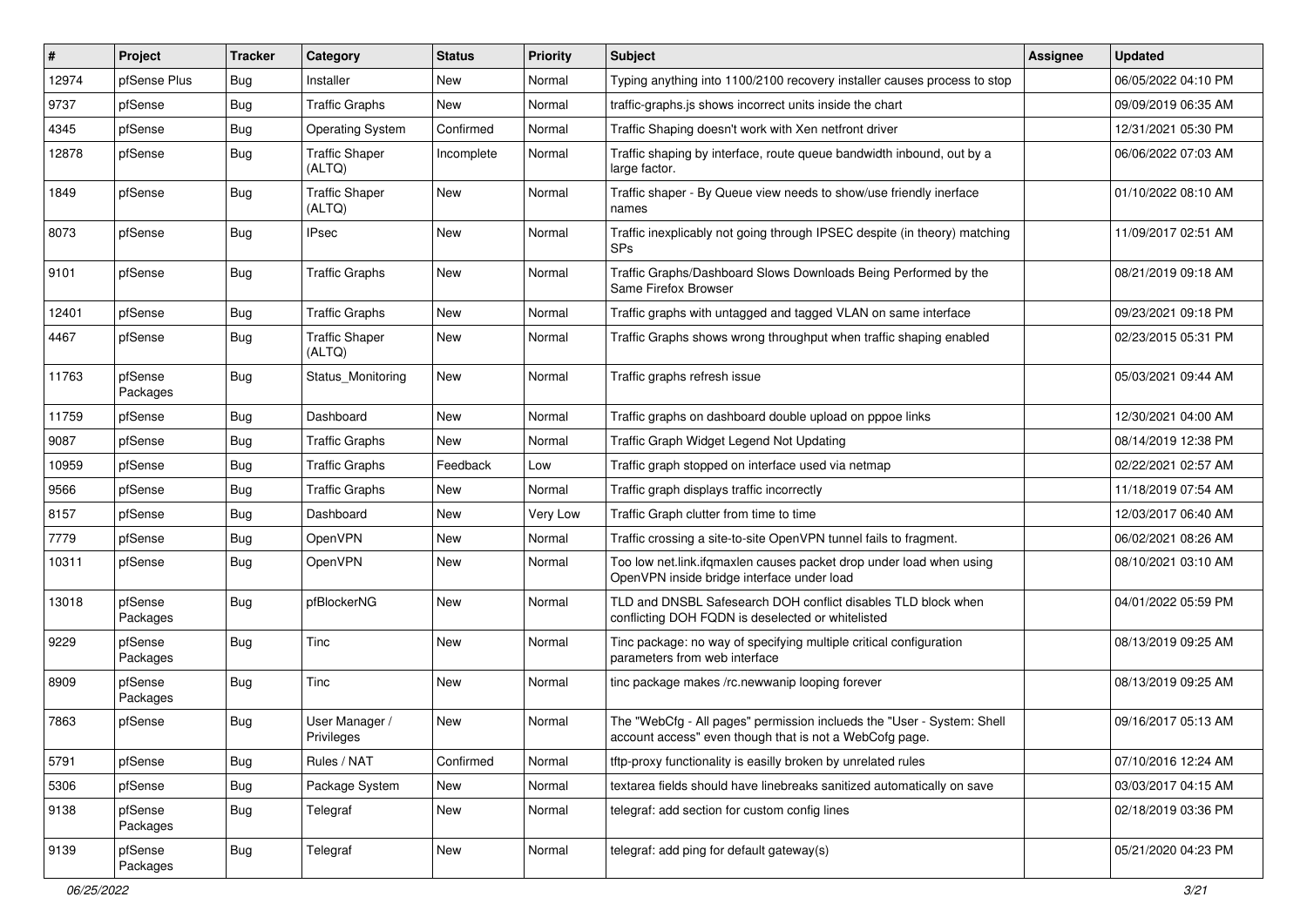| #     | Project             | <b>Tracker</b> | Category                        | <b>Status</b> | <b>Priority</b> | <b>Subject</b>                                                                                                                    | <b>Assignee</b> | <b>Updated</b>      |
|-------|---------------------|----------------|---------------------------------|---------------|-----------------|-----------------------------------------------------------------------------------------------------------------------------------|-----------------|---------------------|
| 12974 | pfSense Plus        | <b>Bug</b>     | Installer                       | New           | Normal          | Typing anything into 1100/2100 recovery installer causes process to stop                                                          |                 | 06/05/2022 04:10 PM |
| 9737  | pfSense             | Bug            | <b>Traffic Graphs</b>           | New           | Normal          | traffic-graphs.js shows incorrect units inside the chart                                                                          |                 | 09/09/2019 06:35 AM |
| 4345  | pfSense             | <b>Bug</b>     | <b>Operating System</b>         | Confirmed     | Normal          | Traffic Shaping doesn't work with Xen netfront driver                                                                             |                 | 12/31/2021 05:30 PM |
| 12878 | pfSense             | Bug            | <b>Traffic Shaper</b><br>(ALTQ) | Incomplete    | Normal          | Traffic shaping by interface, route queue bandwidth inbound, out by a<br>large factor.                                            |                 | 06/06/2022 07:03 AM |
| 1849  | pfSense             | Bug            | <b>Traffic Shaper</b><br>(ALTQ) | New           | Normal          | Traffic shaper - By Queue view needs to show/use friendly inerface<br>names                                                       |                 | 01/10/2022 08:10 AM |
| 8073  | pfSense             | Bug            | <b>IPsec</b>                    | <b>New</b>    | Normal          | Traffic inexplicably not going through IPSEC despite (in theory) matching<br><b>SPs</b>                                           |                 | 11/09/2017 02:51 AM |
| 9101  | pfSense             | Bug            | <b>Traffic Graphs</b>           | New           | Normal          | Traffic Graphs/Dashboard Slows Downloads Being Performed by the<br>Same Firefox Browser                                           |                 | 08/21/2019 09:18 AM |
| 12401 | pfSense             | <b>Bug</b>     | <b>Traffic Graphs</b>           | <b>New</b>    | Normal          | Traffic graphs with untagged and tagged VLAN on same interface                                                                    |                 | 09/23/2021 09:18 PM |
| 4467  | pfSense             | Bug            | <b>Traffic Shaper</b><br>(ALTQ) | New           | Normal          | Traffic Graphs shows wrong throughput when traffic shaping enabled                                                                |                 | 02/23/2015 05:31 PM |
| 11763 | pfSense<br>Packages | <b>Bug</b>     | Status Monitoring               | New           | Normal          | Traffic graphs refresh issue                                                                                                      |                 | 05/03/2021 09:44 AM |
| 11759 | pfSense             | <b>Bug</b>     | Dashboard                       | New           | Normal          | Traffic graphs on dashboard double upload on pppoe links                                                                          |                 | 12/30/2021 04:00 AM |
| 9087  | pfSense             | Bug            | <b>Traffic Graphs</b>           | New           | Normal          | Traffic Graph Widget Legend Not Updating                                                                                          |                 | 08/14/2019 12:38 PM |
| 10959 | pfSense             | <b>Bug</b>     | <b>Traffic Graphs</b>           | Feedback      | Low             | Traffic graph stopped on interface used via netmap                                                                                |                 | 02/22/2021 02:57 AM |
| 9566  | pfSense             | <b>Bug</b>     | <b>Traffic Graphs</b>           | New           | Normal          | Traffic graph displays traffic incorrectly                                                                                        |                 | 11/18/2019 07:54 AM |
| 8157  | pfSense             | <b>Bug</b>     | Dashboard                       | <b>New</b>    | Very Low        | Traffic Graph clutter from time to time                                                                                           |                 | 12/03/2017 06:40 AM |
| 7779  | pfSense             | <b>Bug</b>     | OpenVPN                         | New           | Normal          | Traffic crossing a site-to-site OpenVPN tunnel fails to fragment.                                                                 |                 | 06/02/2021 08:26 AM |
| 10311 | pfSense             | Bug            | OpenVPN                         | New           | Normal          | Too low net.link.ifqmaxlen causes packet drop under load when using<br>OpenVPN inside bridge interface under load                 |                 | 08/10/2021 03:10 AM |
| 13018 | pfSense<br>Packages | <b>Bug</b>     | pfBlockerNG                     | <b>New</b>    | Normal          | TLD and DNSBL Safesearch DOH conflict disables TLD block when<br>conflicting DOH FQDN is deselected or whitelisted                |                 | 04/01/2022 05:59 PM |
| 9229  | pfSense<br>Packages | Bug            | Tinc                            | <b>New</b>    | Normal          | Tinc package: no way of specifying multiple critical configuration<br>parameters from web interface                               |                 | 08/13/2019 09:25 AM |
| 8909  | pfSense<br>Packages | Bug            | Tinc                            | New           | Normal          | tinc package makes /rc.newwanip looping forever                                                                                   |                 | 08/13/2019 09:25 AM |
| 7863  | pfSense             | Bug            | User Manager /<br>Privileges    | New           | Normal          | The "WebCfg - All pages" permission inclueds the "User - System: Shell<br>account access" even though that is not a WebCofg page. |                 | 09/16/2017 05:13 AM |
| 5791  | pfSense             | Bug            | Rules / NAT                     | Confirmed     | Normal          | tftp-proxy functionality is easilly broken by unrelated rules                                                                     |                 | 07/10/2016 12:24 AM |
| 5306  | pfSense             | <b>Bug</b>     | Package System                  | New           | Normal          | textarea fields should have linebreaks sanitized automatically on save                                                            |                 | 03/03/2017 04:15 AM |
| 9138  | pfSense<br>Packages | <b>Bug</b>     | Telegraf                        | New           | Normal          | telegraf: add section for custom config lines                                                                                     |                 | 02/18/2019 03:36 PM |
| 9139  | pfSense<br>Packages | <b>Bug</b>     | Telegraf                        | New           | Normal          | telegraf: add ping for default gateway(s)                                                                                         |                 | 05/21/2020 04:23 PM |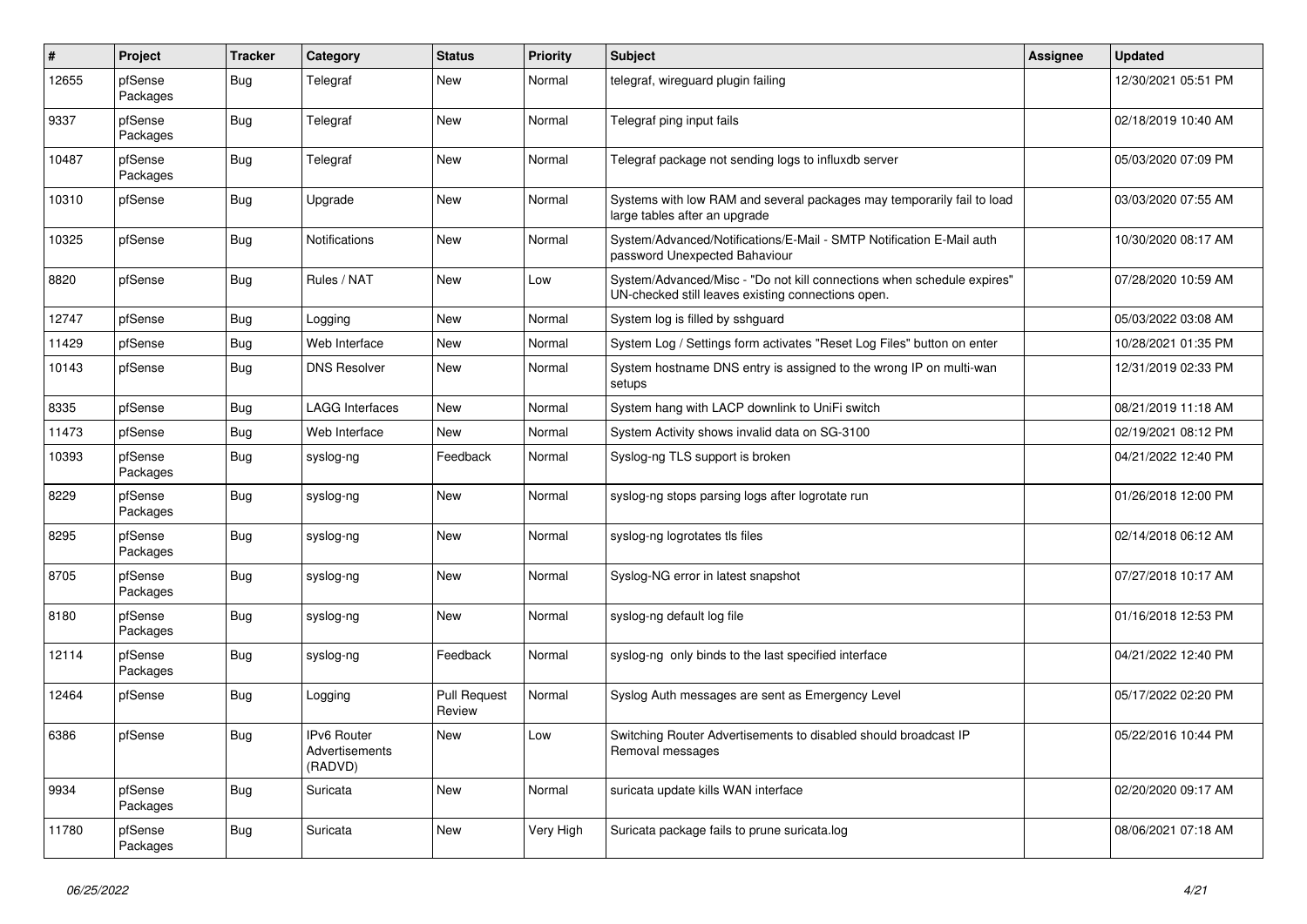| $\#$  | Project             | <b>Tracker</b> | Category                                        | <b>Status</b>                 | <b>Priority</b> | Subject                                                                                                                      | Assignee | <b>Updated</b>      |
|-------|---------------------|----------------|-------------------------------------------------|-------------------------------|-----------------|------------------------------------------------------------------------------------------------------------------------------|----------|---------------------|
| 12655 | pfSense<br>Packages | Bug            | Telegraf                                        | <b>New</b>                    | Normal          | telegraf, wireguard plugin failing                                                                                           |          | 12/30/2021 05:51 PM |
| 9337  | pfSense<br>Packages | <b>Bug</b>     | Telegraf                                        | New                           | Normal          | Telegraf ping input fails                                                                                                    |          | 02/18/2019 10:40 AM |
| 10487 | pfSense<br>Packages | <b>Bug</b>     | Telegraf                                        | <b>New</b>                    | Normal          | Telegraf package not sending logs to influxdb server                                                                         |          | 05/03/2020 07:09 PM |
| 10310 | pfSense             | <b>Bug</b>     | Upgrade                                         | New                           | Normal          | Systems with low RAM and several packages may temporarily fail to load<br>large tables after an upgrade                      |          | 03/03/2020 07:55 AM |
| 10325 | pfSense             | <b>Bug</b>     | <b>Notifications</b>                            | New                           | Normal          | System/Advanced/Notifications/E-Mail - SMTP Notification E-Mail auth<br>password Unexpected Bahaviour                        |          | 10/30/2020 08:17 AM |
| 8820  | pfSense             | <b>Bug</b>     | Rules / NAT                                     | New                           | Low             | System/Advanced/Misc - "Do not kill connections when schedule expires"<br>UN-checked still leaves existing connections open. |          | 07/28/2020 10:59 AM |
| 12747 | pfSense             | Bug            | Logging                                         | New                           | Normal          | System log is filled by sshguard                                                                                             |          | 05/03/2022 03:08 AM |
| 11429 | pfSense             | <b>Bug</b>     | Web Interface                                   | New                           | Normal          | System Log / Settings form activates "Reset Log Files" button on enter                                                       |          | 10/28/2021 01:35 PM |
| 10143 | pfSense             | <b>Bug</b>     | <b>DNS Resolver</b>                             | New                           | Normal          | System hostname DNS entry is assigned to the wrong IP on multi-wan<br>setups                                                 |          | 12/31/2019 02:33 PM |
| 8335  | pfSense             | <b>Bug</b>     | <b>LAGG Interfaces</b>                          | <b>New</b>                    | Normal          | System hang with LACP downlink to UniFi switch                                                                               |          | 08/21/2019 11:18 AM |
| 11473 | pfSense             | <b>Bug</b>     | Web Interface                                   | <b>New</b>                    | Normal          | System Activity shows invalid data on SG-3100                                                                                |          | 02/19/2021 08:12 PM |
| 10393 | pfSense<br>Packages | <b>Bug</b>     | syslog-ng                                       | Feedback                      | Normal          | Syslog-ng TLS support is broken                                                                                              |          | 04/21/2022 12:40 PM |
| 8229  | pfSense<br>Packages | Bug            | syslog-ng                                       | New                           | Normal          | syslog-ng stops parsing logs after logrotate run                                                                             |          | 01/26/2018 12:00 PM |
| 8295  | pfSense<br>Packages | <b>Bug</b>     | syslog-ng                                       | New                           | Normal          | syslog-ng logrotates tls files                                                                                               |          | 02/14/2018 06:12 AM |
| 8705  | pfSense<br>Packages | <b>Bug</b>     | syslog-ng                                       | New                           | Normal          | Syslog-NG error in latest snapshot                                                                                           |          | 07/27/2018 10:17 AM |
| 8180  | pfSense<br>Packages | Bug            | syslog-ng                                       | New                           | Normal          | syslog-ng default log file                                                                                                   |          | 01/16/2018 12:53 PM |
| 12114 | pfSense<br>Packages | <b>Bug</b>     | syslog-ng                                       | Feedback                      | Normal          | syslog-ng only binds to the last specified interface                                                                         |          | 04/21/2022 12:40 PM |
| 12464 | pfSense             | <b>Bug</b>     | Logging                                         | <b>Pull Request</b><br>Review | Normal          | Syslog Auth messages are sent as Emergency Level                                                                             |          | 05/17/2022 02:20 PM |
| 6386  | pfSense             | Bug            | <b>IPv6 Router</b><br>Advertisements<br>(RADVD) | <b>New</b>                    | Low             | Switching Router Advertisements to disabled should broadcast IP<br>Removal messages                                          |          | 05/22/2016 10:44 PM |
| 9934  | pfSense<br>Packages | Bug            | Suricata                                        | New                           | Normal          | suricata update kills WAN interface                                                                                          |          | 02/20/2020 09:17 AM |
| 11780 | pfSense<br>Packages | <b>Bug</b>     | Suricata                                        | New                           | Very High       | Suricata package fails to prune suricata.log                                                                                 |          | 08/06/2021 07:18 AM |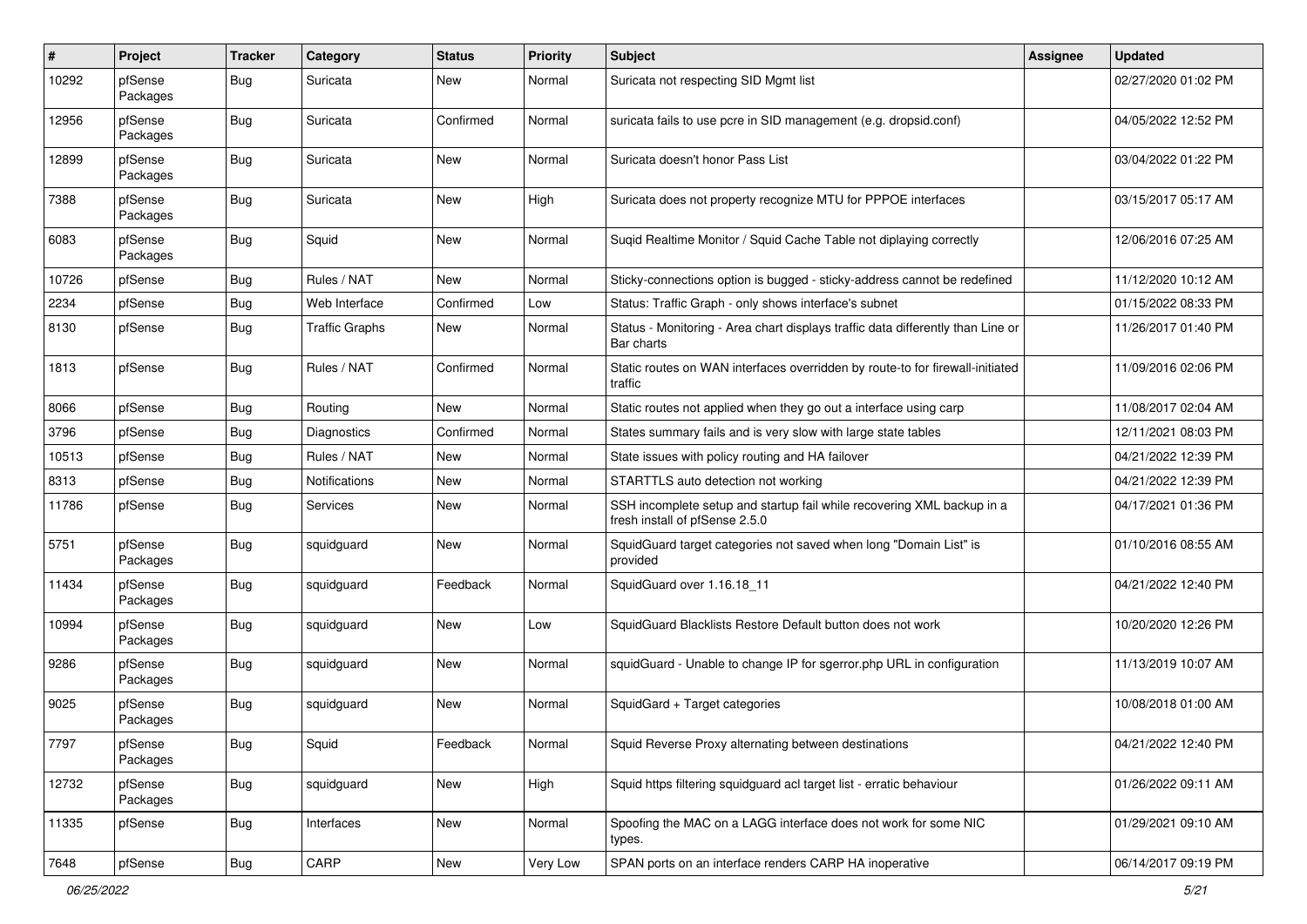| #     | Project             | <b>Tracker</b> | Category              | <b>Status</b> | <b>Priority</b> | <b>Subject</b>                                                                                           | <b>Assignee</b> | <b>Updated</b>      |
|-------|---------------------|----------------|-----------------------|---------------|-----------------|----------------------------------------------------------------------------------------------------------|-----------------|---------------------|
| 10292 | pfSense<br>Packages | Bug            | Suricata              | New           | Normal          | Suricata not respecting SID Mgmt list                                                                    |                 | 02/27/2020 01:02 PM |
| 12956 | pfSense<br>Packages | Bug            | Suricata              | Confirmed     | Normal          | suricata fails to use pcre in SID management (e.g. dropsid.conf)                                         |                 | 04/05/2022 12:52 PM |
| 12899 | pfSense<br>Packages | <b>Bug</b>     | Suricata              | <b>New</b>    | Normal          | Suricata doesn't honor Pass List                                                                         |                 | 03/04/2022 01:22 PM |
| 7388  | pfSense<br>Packages | <b>Bug</b>     | Suricata              | New           | High            | Suricata does not property recognize MTU for PPPOE interfaces                                            |                 | 03/15/2017 05:17 AM |
| 6083  | pfSense<br>Packages | <b>Bug</b>     | Squid                 | <b>New</b>    | Normal          | Suqid Realtime Monitor / Squid Cache Table not diplaying correctly                                       |                 | 12/06/2016 07:25 AM |
| 10726 | pfSense             | Bug            | Rules / NAT           | <b>New</b>    | Normal          | Sticky-connections option is bugged - sticky-address cannot be redefined                                 |                 | 11/12/2020 10:12 AM |
| 2234  | pfSense             | <b>Bug</b>     | Web Interface         | Confirmed     | Low             | Status: Traffic Graph - only shows interface's subnet                                                    |                 | 01/15/2022 08:33 PM |
| 8130  | pfSense             | Bug            | <b>Traffic Graphs</b> | New           | Normal          | Status - Monitoring - Area chart displays traffic data differently than Line or<br>Bar charts            |                 | 11/26/2017 01:40 PM |
| 1813  | pfSense             | Bug            | Rules / NAT           | Confirmed     | Normal          | Static routes on WAN interfaces overridden by route-to for firewall-initiated<br>traffic                 |                 | 11/09/2016 02:06 PM |
| 8066  | pfSense             | Bug            | Routing               | <b>New</b>    | Normal          | Static routes not applied when they go out a interface using carp                                        |                 | 11/08/2017 02:04 AM |
| 3796  | pfSense             | Bug            | Diagnostics           | Confirmed     | Normal          | States summary fails and is very slow with large state tables                                            |                 | 12/11/2021 08:03 PM |
| 10513 | pfSense             | Bug            | Rules / NAT           | <b>New</b>    | Normal          | State issues with policy routing and HA failover                                                         |                 | 04/21/2022 12:39 PM |
| 8313  | pfSense             | <b>Bug</b>     | <b>Notifications</b>  | New           | Normal          | STARTTLS auto detection not working                                                                      |                 | 04/21/2022 12:39 PM |
| 11786 | pfSense             | <b>Bug</b>     | <b>Services</b>       | New           | Normal          | SSH incomplete setup and startup fail while recovering XML backup in a<br>fresh install of pfSense 2.5.0 |                 | 04/17/2021 01:36 PM |
| 5751  | pfSense<br>Packages | <b>Bug</b>     | squidguard            | New           | Normal          | SquidGuard target categories not saved when long "Domain List" is<br>provided                            |                 | 01/10/2016 08:55 AM |
| 11434 | pfSense<br>Packages | Bug            | squidguard            | Feedback      | Normal          | SquidGuard over 1.16.18 11                                                                               |                 | 04/21/2022 12:40 PM |
| 10994 | pfSense<br>Packages | <b>Bug</b>     | squidguard            | <b>New</b>    | Low             | SquidGuard Blacklists Restore Default button does not work                                               |                 | 10/20/2020 12:26 PM |
| 9286  | pfSense<br>Packages | <b>Bug</b>     | squidguard            | <b>New</b>    | Normal          | squidGuard - Unable to change IP for sgerror.php URL in configuration                                    |                 | 11/13/2019 10:07 AM |
| 9025  | pfSense<br>Packages | <b>Bug</b>     | squidguard            | New           | Normal          | SquidGard + Target categories                                                                            |                 | 10/08/2018 01:00 AM |
| 7797  | pfSense<br>Packages | <b>Bug</b>     | Squid                 | Feedback      | Normal          | Squid Reverse Proxy alternating between destinations                                                     |                 | 04/21/2022 12:40 PM |
| 12732 | pfSense<br>Packages | <b>Bug</b>     | squidguard            | New           | High            | Squid https filtering squidguard acl target list - erratic behaviour                                     |                 | 01/26/2022 09:11 AM |
| 11335 | pfSense             | <b>Bug</b>     | Interfaces            | New           | Normal          | Spoofing the MAC on a LAGG interface does not work for some NIC<br>types.                                |                 | 01/29/2021 09:10 AM |
| 7648  | pfSense             | <b>Bug</b>     | CARP                  | New           | Very Low        | SPAN ports on an interface renders CARP HA inoperative                                                   |                 | 06/14/2017 09:19 PM |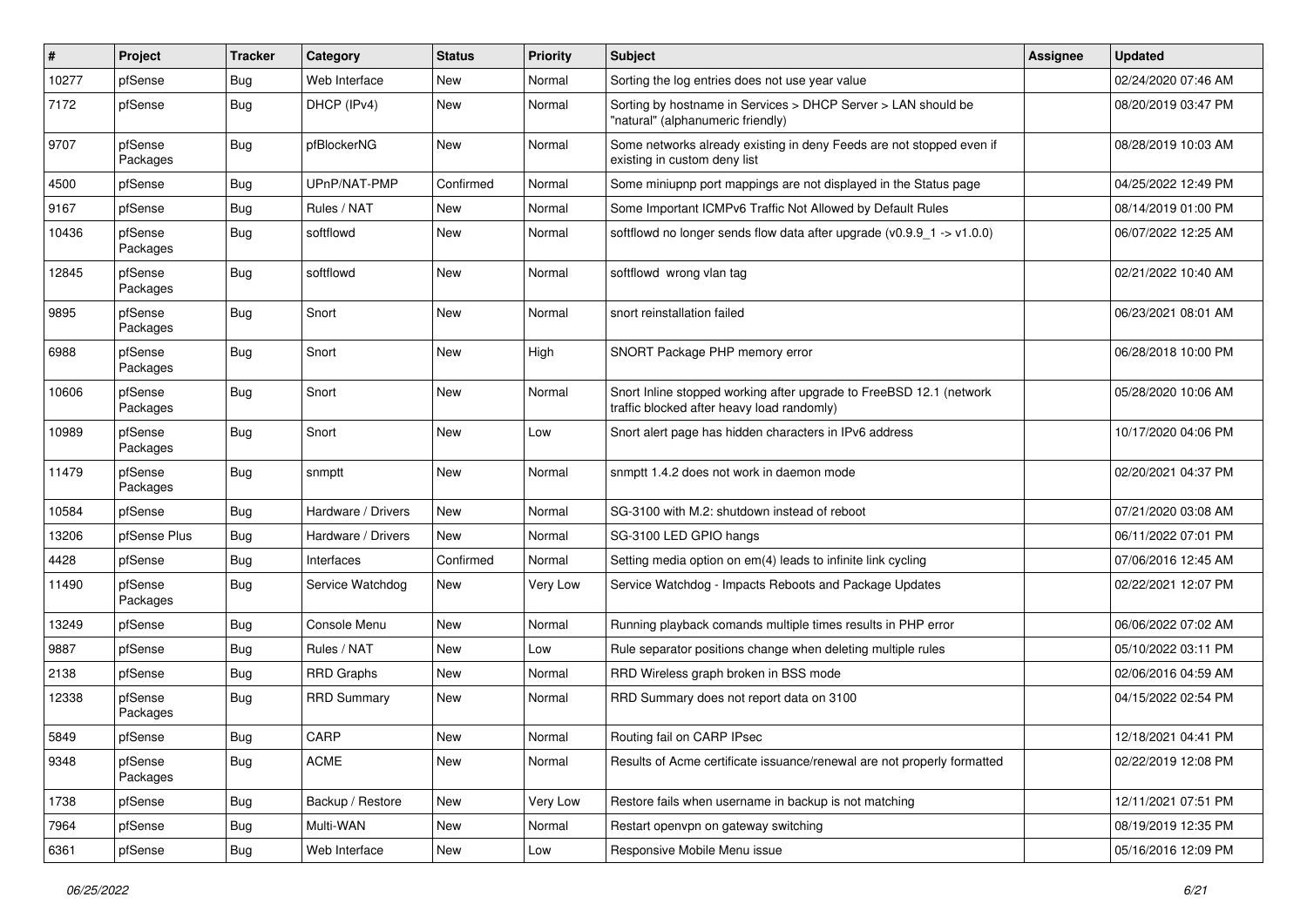| #     | Project             | <b>Tracker</b> | Category           | <b>Status</b> | <b>Priority</b> | <b>Subject</b>                                                                                                    | Assignee | <b>Updated</b>      |
|-------|---------------------|----------------|--------------------|---------------|-----------------|-------------------------------------------------------------------------------------------------------------------|----------|---------------------|
| 10277 | pfSense             | Bug            | Web Interface      | New           | Normal          | Sorting the log entries does not use year value                                                                   |          | 02/24/2020 07:46 AM |
| 7172  | pfSense             | Bug            | DHCP (IPv4)        | <b>New</b>    | Normal          | Sorting by hostname in Services > DHCP Server > LAN should be<br>"natural" (alphanumeric friendly)                |          | 08/20/2019 03:47 PM |
| 9707  | pfSense<br>Packages | Bug            | pfBlockerNG        | <b>New</b>    | Normal          | Some networks already existing in deny Feeds are not stopped even if<br>existing in custom deny list              |          | 08/28/2019 10:03 AM |
| 4500  | pfSense             | Bug            | UPnP/NAT-PMP       | Confirmed     | Normal          | Some miniupnp port mappings are not displayed in the Status page                                                  |          | 04/25/2022 12:49 PM |
| 9167  | pfSense             | Bug            | Rules / NAT        | New           | Normal          | Some Important ICMPv6 Traffic Not Allowed by Default Rules                                                        |          | 08/14/2019 01:00 PM |
| 10436 | pfSense<br>Packages | <b>Bug</b>     | softflowd          | <b>New</b>    | Normal          | softflowd no longer sends flow data after upgrade $(v0.9.9 - 1 > v1.0.0)$                                         |          | 06/07/2022 12:25 AM |
| 12845 | pfSense<br>Packages | Bug            | softflowd          | <b>New</b>    | Normal          | softflowd wrong vlan tag                                                                                          |          | 02/21/2022 10:40 AM |
| 9895  | pfSense<br>Packages | Bug            | Snort              | New           | Normal          | snort reinstallation failed                                                                                       |          | 06/23/2021 08:01 AM |
| 6988  | pfSense<br>Packages | Bug            | Snort              | <b>New</b>    | High            | SNORT Package PHP memory error                                                                                    |          | 06/28/2018 10:00 PM |
| 10606 | pfSense<br>Packages | <b>Bug</b>     | Snort              | New           | Normal          | Snort Inline stopped working after upgrade to FreeBSD 12.1 (network<br>traffic blocked after heavy load randomly) |          | 05/28/2020 10:06 AM |
| 10989 | pfSense<br>Packages | Bug            | Snort              | New           | Low             | Snort alert page has hidden characters in IPv6 address                                                            |          | 10/17/2020 04:06 PM |
| 11479 | pfSense<br>Packages | Bug            | snmptt             | New           | Normal          | snmptt 1.4.2 does not work in daemon mode                                                                         |          | 02/20/2021 04:37 PM |
| 10584 | pfSense             | Bug            | Hardware / Drivers | <b>New</b>    | Normal          | SG-3100 with M.2: shutdown instead of reboot                                                                      |          | 07/21/2020 03:08 AM |
| 13206 | pfSense Plus        | Bug            | Hardware / Drivers | New           | Normal          | SG-3100 LED GPIO hangs                                                                                            |          | 06/11/2022 07:01 PM |
| 4428  | pfSense             | Bug            | Interfaces         | Confirmed     | Normal          | Setting media option on em(4) leads to infinite link cycling                                                      |          | 07/06/2016 12:45 AM |
| 11490 | pfSense<br>Packages | Bug            | Service Watchdog   | New           | Very Low        | Service Watchdog - Impacts Reboots and Package Updates                                                            |          | 02/22/2021 12:07 PM |
| 13249 | pfSense             | <b>Bug</b>     | Console Menu       | New           | Normal          | Running playback comands multiple times results in PHP error                                                      |          | 06/06/2022 07:02 AM |
| 9887  | pfSense             | <b>Bug</b>     | Rules / NAT        | New           | Low             | Rule separator positions change when deleting multiple rules                                                      |          | 05/10/2022 03:11 PM |
| 2138  | pfSense             | Bug            | <b>RRD Graphs</b>  | New           | Normal          | RRD Wireless graph broken in BSS mode                                                                             |          | 02/06/2016 04:59 AM |
| 12338 | pfSense<br>Packages | Bug            | <b>RRD Summary</b> | <b>New</b>    | Normal          | RRD Summary does not report data on 3100                                                                          |          | 04/15/2022 02:54 PM |
| 5849  | pfSense             | <b>Bug</b>     | CARP               | New           | Normal          | Routing fail on CARP IPsec                                                                                        |          | 12/18/2021 04:41 PM |
| 9348  | pfSense<br>Packages | Bug            | ACME               | New           | Normal          | Results of Acme certificate issuance/renewal are not properly formatted                                           |          | 02/22/2019 12:08 PM |
| 1738  | pfSense             | <b>Bug</b>     | Backup / Restore   | New           | Very Low        | Restore fails when username in backup is not matching                                                             |          | 12/11/2021 07:51 PM |
| 7964  | pfSense             | <b>Bug</b>     | Multi-WAN          | New           | Normal          | Restart openvpn on gateway switching                                                                              |          | 08/19/2019 12:35 PM |
| 6361  | pfSense             | <b>Bug</b>     | Web Interface      | New           | Low             | Responsive Mobile Menu issue                                                                                      |          | 05/16/2016 12:09 PM |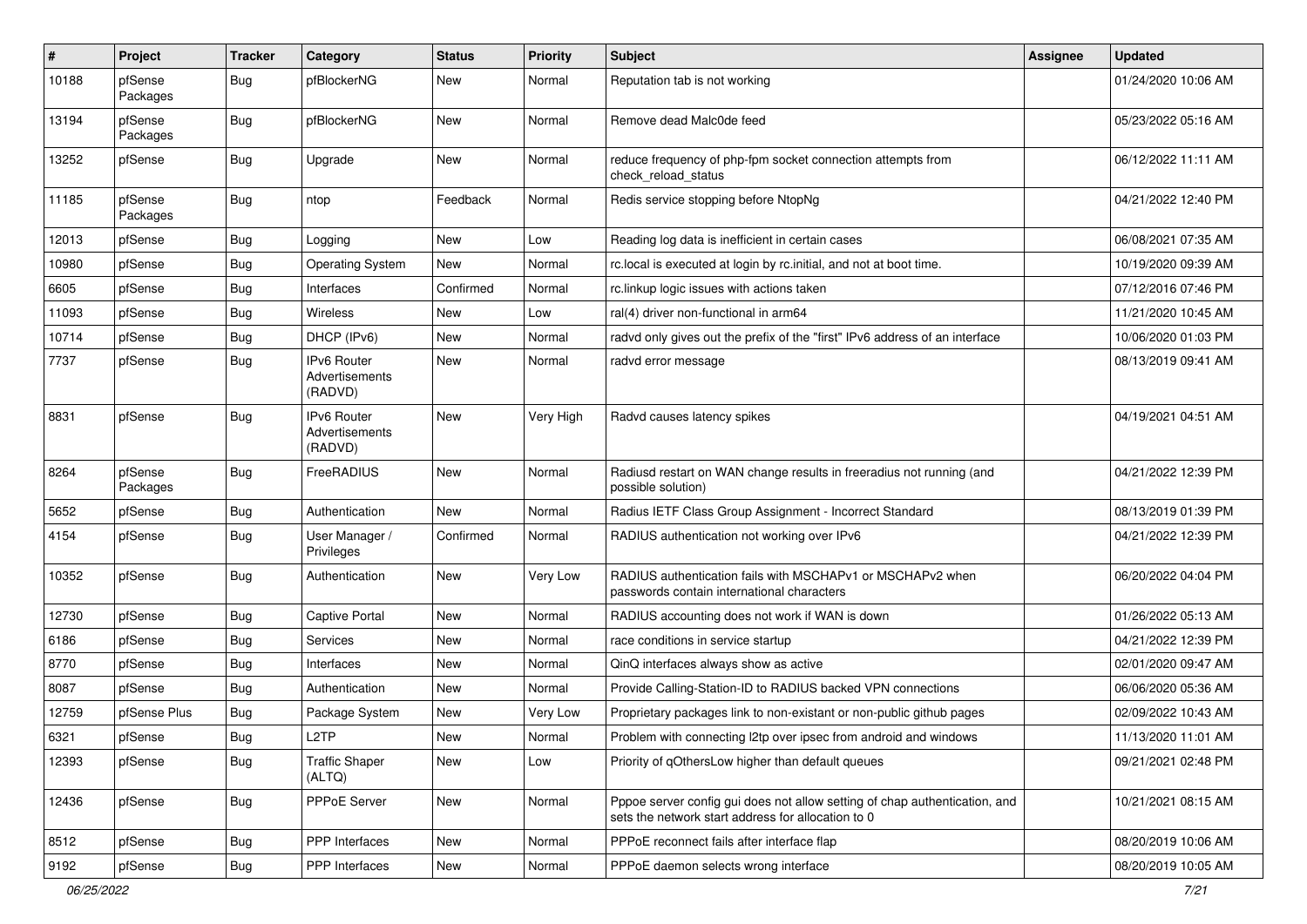| $\sharp$ | Project             | <b>Tracker</b> | Category                                        | <b>Status</b> | <b>Priority</b> | <b>Subject</b>                                                                                                                   | <b>Assignee</b> | <b>Updated</b>      |
|----------|---------------------|----------------|-------------------------------------------------|---------------|-----------------|----------------------------------------------------------------------------------------------------------------------------------|-----------------|---------------------|
| 10188    | pfSense<br>Packages | Bug            | pfBlockerNG                                     | New           | Normal          | Reputation tab is not working                                                                                                    |                 | 01/24/2020 10:06 AM |
| 13194    | pfSense<br>Packages | Bug            | pfBlockerNG                                     | <b>New</b>    | Normal          | Remove dead Malc0de feed                                                                                                         |                 | 05/23/2022 05:16 AM |
| 13252    | pfSense             | <b>Bug</b>     | Upgrade                                         | <b>New</b>    | Normal          | reduce frequency of php-fpm socket connection attempts from<br>check reload status                                               |                 | 06/12/2022 11:11 AM |
| 11185    | pfSense<br>Packages | Bug            | ntop                                            | Feedback      | Normal          | Redis service stopping before NtopNg                                                                                             |                 | 04/21/2022 12:40 PM |
| 12013    | pfSense             | Bug            | Logging                                         | New           | Low             | Reading log data is inefficient in certain cases                                                                                 |                 | 06/08/2021 07:35 AM |
| 10980    | pfSense             | Bug            | <b>Operating System</b>                         | New           | Normal          | rc.local is executed at login by rc.initial, and not at boot time.                                                               |                 | 10/19/2020 09:39 AM |
| 6605     | pfSense             | <b>Bug</b>     | Interfaces                                      | Confirmed     | Normal          | rc.linkup logic issues with actions taken                                                                                        |                 | 07/12/2016 07:46 PM |
| 11093    | pfSense             | <b>Bug</b>     | Wireless                                        | New           | Low             | ral(4) driver non-functional in arm64                                                                                            |                 | 11/21/2020 10:45 AM |
| 10714    | pfSense             | Bug            | DHCP (IPv6)                                     | <b>New</b>    | Normal          | radvd only gives out the prefix of the "first" IPv6 address of an interface                                                      |                 | 10/06/2020 01:03 PM |
| 7737     | pfSense             | Bug            | IPv6 Router<br>Advertisements<br>(RADVD)        | <b>New</b>    | Normal          | radvd error message                                                                                                              |                 | 08/13/2019 09:41 AM |
| 8831     | pfSense             | <b>Bug</b>     | <b>IPv6 Router</b><br>Advertisements<br>(RADVD) | <b>New</b>    | Very High       | Radvd causes latency spikes                                                                                                      |                 | 04/19/2021 04:51 AM |
| 8264     | pfSense<br>Packages | Bug            | FreeRADIUS                                      | <b>New</b>    | Normal          | Radiusd restart on WAN change results in freeradius not running (and<br>possible solution)                                       |                 | 04/21/2022 12:39 PM |
| 5652     | pfSense             | Bug            | Authentication                                  | New           | Normal          | Radius IETF Class Group Assignment - Incorrect Standard                                                                          |                 | 08/13/2019 01:39 PM |
| 4154     | pfSense             | Bug            | User Manager /<br>Privileges                    | Confirmed     | Normal          | RADIUS authentication not working over IPv6                                                                                      |                 | 04/21/2022 12:39 PM |
| 10352    | pfSense             | Bug            | Authentication                                  | New           | Very Low        | RADIUS authentication fails with MSCHAPv1 or MSCHAPv2 when<br>passwords contain international characters                         |                 | 06/20/2022 04:04 PM |
| 12730    | pfSense             | Bug            | <b>Captive Portal</b>                           | <b>New</b>    | Normal          | RADIUS accounting does not work if WAN is down                                                                                   |                 | 01/26/2022 05:13 AM |
| 6186     | pfSense             | Bug            | Services                                        | New           | Normal          | race conditions in service startup                                                                                               |                 | 04/21/2022 12:39 PM |
| 8770     | pfSense             | Bug            | Interfaces                                      | New           | Normal          | QinQ interfaces always show as active                                                                                            |                 | 02/01/2020 09:47 AM |
| 8087     | pfSense             | <b>Bug</b>     | Authentication                                  | New           | Normal          | Provide Calling-Station-ID to RADIUS backed VPN connections                                                                      |                 | 06/06/2020 05:36 AM |
| 12759    | pfSense Plus        | <b>Bug</b>     | Package System                                  | New           | Very Low        | Proprietary packages link to non-existant or non-public github pages                                                             |                 | 02/09/2022 10:43 AM |
| 6321     | pfSense             | Bug            | L <sub>2</sub> TP                               | New           | Normal          | Problem with connecting I2tp over ipsec from android and windows                                                                 |                 | 11/13/2020 11:01 AM |
| 12393    | pfSense             | <b>Bug</b>     | <b>Traffic Shaper</b><br>(ALTQ)                 | New           | Low             | Priority of gOthersLow higher than default queues                                                                                |                 | 09/21/2021 02:48 PM |
| 12436    | pfSense             | <b>Bug</b>     | PPPoE Server                                    | New           | Normal          | Pppoe server config gui does not allow setting of chap authentication, and<br>sets the network start address for allocation to 0 |                 | 10/21/2021 08:15 AM |
| 8512     | pfSense             | <b>Bug</b>     | <b>PPP</b> Interfaces                           | New           | Normal          | PPPoE reconnect fails after interface flap                                                                                       |                 | 08/20/2019 10:06 AM |
| 9192     | pfSense             | <b>Bug</b>     | <b>PPP</b> Interfaces                           | New           | Normal          | PPPoE daemon selects wrong interface                                                                                             |                 | 08/20/2019 10:05 AM |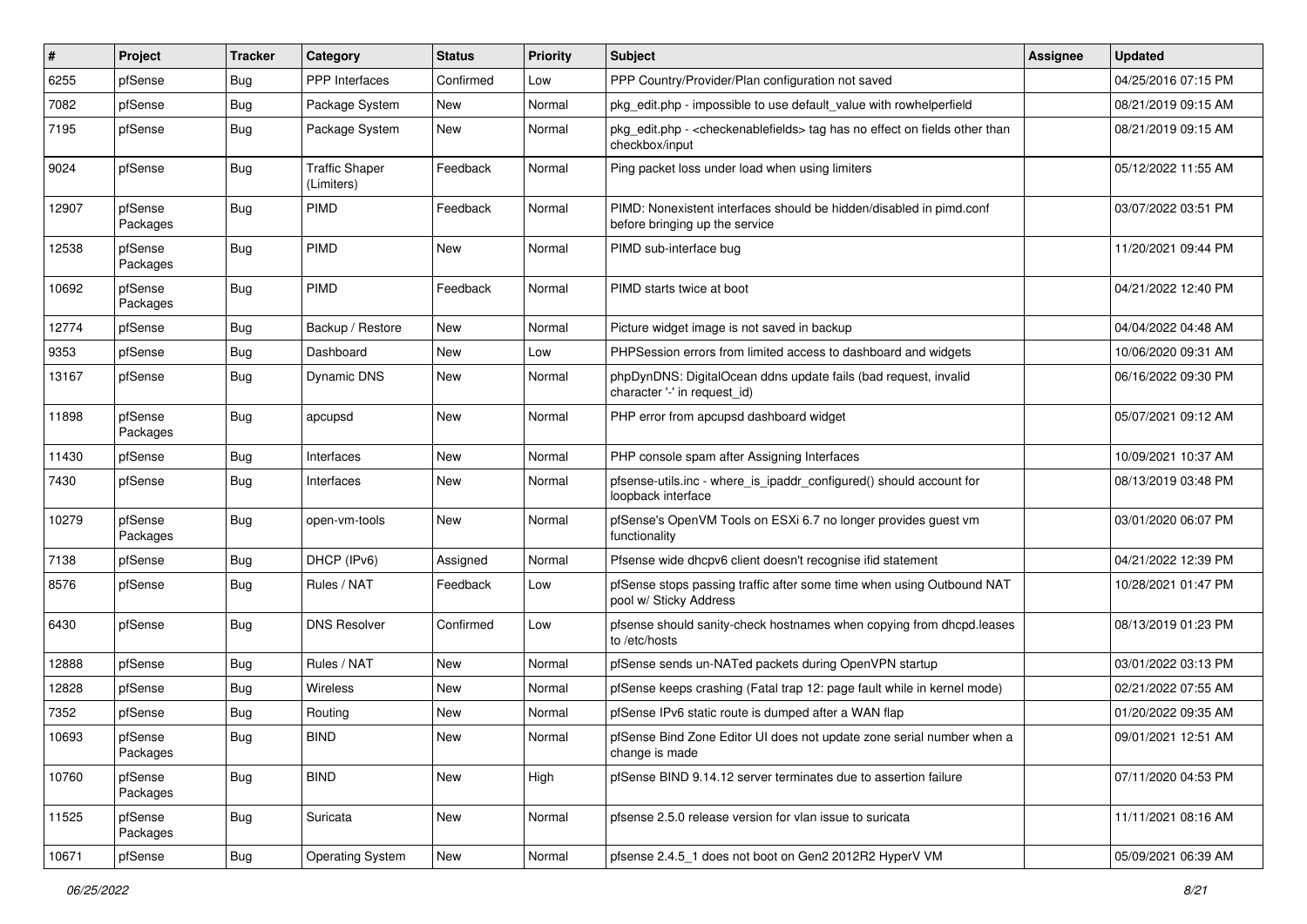| #     | Project             | Tracker    | Category                            | <b>Status</b> | <b>Priority</b> | <b>Subject</b>                                                                                        | <b>Assignee</b> | <b>Updated</b>      |
|-------|---------------------|------------|-------------------------------------|---------------|-----------------|-------------------------------------------------------------------------------------------------------|-----------------|---------------------|
| 6255  | pfSense             | <b>Bug</b> | PPP Interfaces                      | Confirmed     | Low             | PPP Country/Provider/Plan configuration not saved                                                     |                 | 04/25/2016 07:15 PM |
| 7082  | pfSense             | <b>Bug</b> | Package System                      | New           | Normal          | pkg_edit.php - impossible to use default_value with rowhelperfield                                    |                 | 08/21/2019 09:15 AM |
| 7195  | pfSense             | <b>Bug</b> | Package System                      | New           | Normal          | pkg_edit.php - < checkenablefields> tag has no effect on fields other than<br>checkbox/input          |                 | 08/21/2019 09:15 AM |
| 9024  | pfSense             | Bug        | <b>Traffic Shaper</b><br>(Limiters) | Feedback      | Normal          | Ping packet loss under load when using limiters                                                       |                 | 05/12/2022 11:55 AM |
| 12907 | pfSense<br>Packages | <b>Bug</b> | <b>PIMD</b>                         | Feedback      | Normal          | PIMD: Nonexistent interfaces should be hidden/disabled in pimd.conf<br>before bringing up the service |                 | 03/07/2022 03:51 PM |
| 12538 | pfSense<br>Packages | Bug        | PIMD                                | New           | Normal          | PIMD sub-interface bug                                                                                |                 | 11/20/2021 09:44 PM |
| 10692 | pfSense<br>Packages | Bug        | PIMD                                | Feedback      | Normal          | PIMD starts twice at boot                                                                             |                 | 04/21/2022 12:40 PM |
| 12774 | pfSense             | Bug        | Backup / Restore                    | New           | Normal          | Picture widget image is not saved in backup                                                           |                 | 04/04/2022 04:48 AM |
| 9353  | pfSense             | <b>Bug</b> | Dashboard                           | New           | Low             | PHPSession errors from limited access to dashboard and widgets                                        |                 | 10/06/2020 09:31 AM |
| 13167 | pfSense             | <b>Bug</b> | <b>Dynamic DNS</b>                  | New           | Normal          | phpDynDNS: DigitalOcean ddns update fails (bad request, invalid<br>character '-' in request_id)       |                 | 06/16/2022 09:30 PM |
| 11898 | pfSense<br>Packages | <b>Bug</b> | apcupsd                             | New           | Normal          | PHP error from apcupsd dashboard widget                                                               |                 | 05/07/2021 09:12 AM |
| 11430 | pfSense             | <b>Bug</b> | Interfaces                          | New           | Normal          | PHP console spam after Assigning Interfaces                                                           |                 | 10/09/2021 10:37 AM |
| 7430  | pfSense             | <b>Bug</b> | Interfaces                          | New           | Normal          | pfsense-utils.inc - where_is_ipaddr_configured() should account for<br>loopback interface             |                 | 08/13/2019 03:48 PM |
| 10279 | pfSense<br>Packages | <b>Bug</b> | open-vm-tools                       | New           | Normal          | pfSense's OpenVM Tools on ESXi 6.7 no longer provides guest vm<br>functionality                       |                 | 03/01/2020 06:07 PM |
| 7138  | pfSense             | Bug        | DHCP (IPv6)                         | Assigned      | Normal          | Pfsense wide dhcpv6 client doesn't recognise ifid statement                                           |                 | 04/21/2022 12:39 PM |
| 8576  | pfSense             | <b>Bug</b> | Rules / NAT                         | Feedback      | Low             | pfSense stops passing traffic after some time when using Outbound NAT<br>pool w/ Sticky Address       |                 | 10/28/2021 01:47 PM |
| 6430  | pfSense             | Bug        | <b>DNS Resolver</b>                 | Confirmed     | Low             | pfsense should sanity-check hostnames when copying from dhcpd.leases<br>to /etc/hosts                 |                 | 08/13/2019 01:23 PM |
| 12888 | pfSense             | <b>Bug</b> | Rules / NAT                         | New           | Normal          | pfSense sends un-NATed packets during OpenVPN startup                                                 |                 | 03/01/2022 03:13 PM |
| 12828 | pfSense             | Bug        | <b>Wireless</b>                     | New           | Normal          | pfSense keeps crashing (Fatal trap 12: page fault while in kernel mode)                               |                 | 02/21/2022 07:55 AM |
| 7352  | pfSense             | <b>Bug</b> | Routing                             | New           | Normal          | pfSense IPv6 static route is dumped after a WAN flap                                                  |                 | 01/20/2022 09:35 AM |
| 10693 | pfSense<br>Packages | <b>Bug</b> | <b>BIND</b>                         | New           | Normal          | pfSense Bind Zone Editor UI does not update zone serial number when a<br>change is made               |                 | 09/01/2021 12:51 AM |
| 10760 | pfSense<br>Packages | <b>Bug</b> | <b>BIND</b>                         | New           | High            | pfSense BIND 9.14.12 server terminates due to assertion failure                                       |                 | 07/11/2020 04:53 PM |
| 11525 | pfSense<br>Packages | Bug        | Suricata                            | New           | Normal          | pfsense 2.5.0 release version for vlan issue to suricata                                              |                 | 11/11/2021 08:16 AM |
| 10671 | pfSense             | Bug        | <b>Operating System</b>             | New           | Normal          | pfsense 2.4.5_1 does not boot on Gen2 2012R2 HyperV VM                                                |                 | 05/09/2021 06:39 AM |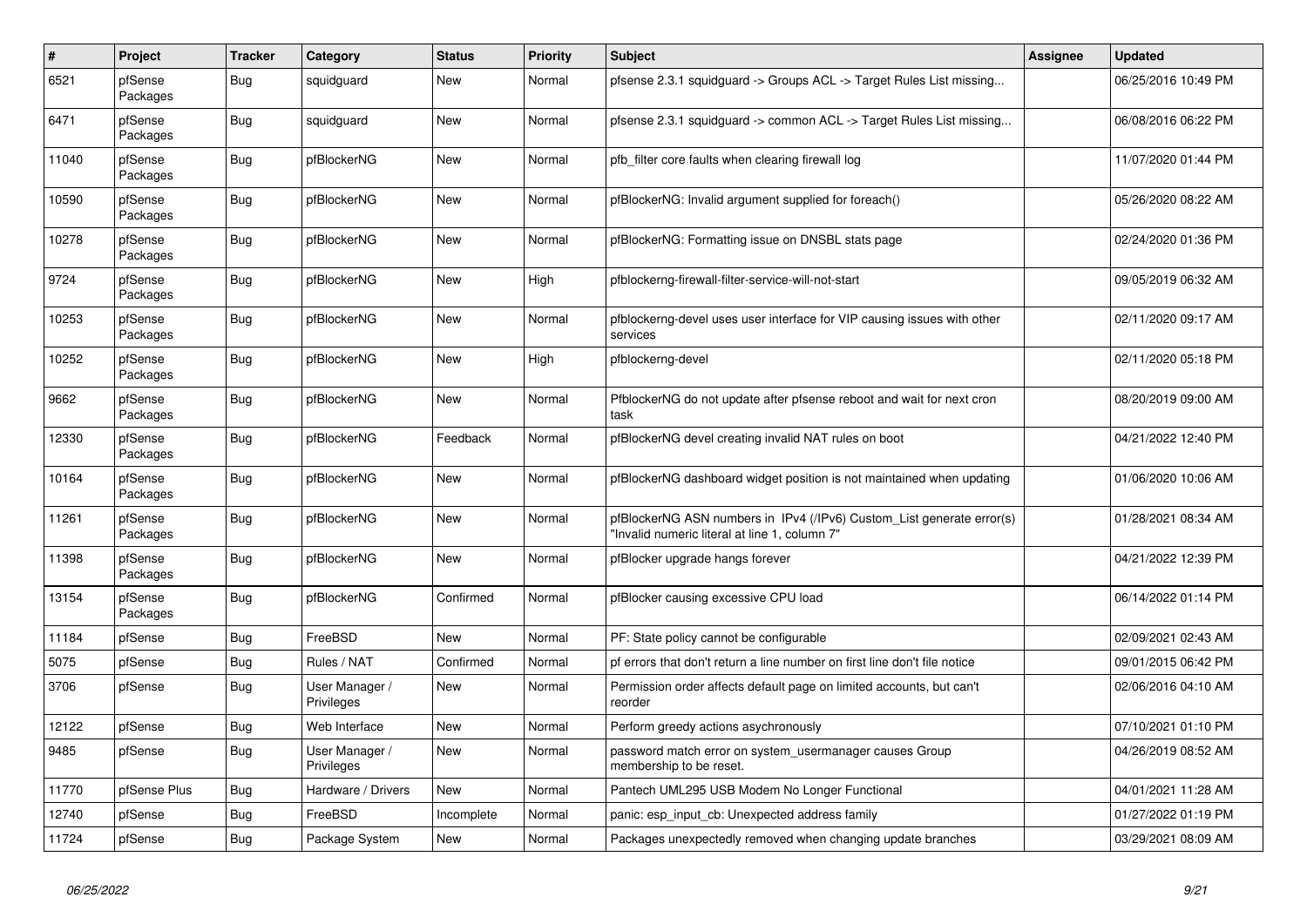| $\sharp$ | <b>Project</b>      | <b>Tracker</b> | Category                     | <b>Status</b> | <b>Priority</b> | <b>Subject</b>                                                                                                         | Assignee | Updated             |
|----------|---------------------|----------------|------------------------------|---------------|-----------------|------------------------------------------------------------------------------------------------------------------------|----------|---------------------|
| 6521     | pfSense<br>Packages | Bug            | squidguard                   | New           | Normal          | pfsense 2.3.1 squidguard -> Groups ACL -> Target Rules List missing                                                    |          | 06/25/2016 10:49 PM |
| 6471     | pfSense<br>Packages | Bug            | squidguard                   | <b>New</b>    | Normal          | pfsense 2.3.1 squidguard -> common ACL -> Target Rules List missing                                                    |          | 06/08/2016 06:22 PM |
| 11040    | pfSense<br>Packages | <b>Bug</b>     | pfBlockerNG                  | <b>New</b>    | Normal          | pfb filter core faults when clearing firewall log                                                                      |          | 11/07/2020 01:44 PM |
| 10590    | pfSense<br>Packages | <b>Bug</b>     | pfBlockerNG                  | New           | Normal          | pfBlockerNG: Invalid argument supplied for foreach()                                                                   |          | 05/26/2020 08:22 AM |
| 10278    | pfSense<br>Packages | Bug            | pfBlockerNG                  | <b>New</b>    | Normal          | pfBlockerNG: Formatting issue on DNSBL stats page                                                                      |          | 02/24/2020 01:36 PM |
| 9724     | pfSense<br>Packages | <b>Bug</b>     | pfBlockerNG                  | New           | High            | pfblockerng-firewall-filter-service-will-not-start                                                                     |          | 09/05/2019 06:32 AM |
| 10253    | pfSense<br>Packages | Bug            | pfBlockerNG                  | New           | Normal          | pfblockerng-devel uses user interface for VIP causing issues with other<br>services                                    |          | 02/11/2020 09:17 AM |
| 10252    | pfSense<br>Packages | Bug            | pfBlockerNG                  | <b>New</b>    | High            | pfblockerng-devel                                                                                                      |          | 02/11/2020 05:18 PM |
| 9662     | pfSense<br>Packages | <b>Bug</b>     | pfBlockerNG                  | New           | Normal          | PfblockerNG do not update after pfsense reboot and wait for next cron<br>task                                          |          | 08/20/2019 09:00 AM |
| 12330    | pfSense<br>Packages | Bug            | pfBlockerNG                  | Feedback      | Normal          | pfBlockerNG devel creating invalid NAT rules on boot                                                                   |          | 04/21/2022 12:40 PM |
| 10164    | pfSense<br>Packages | <b>Bug</b>     | pfBlockerNG                  | New           | Normal          | pfBlockerNG dashboard widget position is not maintained when updating                                                  |          | 01/06/2020 10:06 AM |
| 11261    | pfSense<br>Packages | <b>Bug</b>     | pfBlockerNG                  | New           | Normal          | pfBlockerNG ASN numbers in IPv4 (/IPv6) Custom_List generate error(s)<br>'Invalid numeric literal at line 1, column 7" |          | 01/28/2021 08:34 AM |
| 11398    | pfSense<br>Packages | Bug            | pfBlockerNG                  | <b>New</b>    | Normal          | pfBlocker upgrade hangs forever                                                                                        |          | 04/21/2022 12:39 PM |
| 13154    | pfSense<br>Packages | <b>Bug</b>     | pfBlockerNG                  | Confirmed     | Normal          | pfBlocker causing excessive CPU load                                                                                   |          | 06/14/2022 01:14 PM |
| 11184    | pfSense             | Bug            | FreeBSD                      | New           | Normal          | PF: State policy cannot be configurable                                                                                |          | 02/09/2021 02:43 AM |
| 5075     | pfSense             | <b>Bug</b>     | Rules / NAT                  | Confirmed     | Normal          | pf errors that don't return a line number on first line don't file notice                                              |          | 09/01/2015 06:42 PM |
| 3706     | pfSense             | Bug            | User Manager /<br>Privileges | New           | Normal          | Permission order affects default page on limited accounts, but can't<br>reorder                                        |          | 02/06/2016 04:10 AM |
| 12122    | pfSense             | <b>Bug</b>     | Web Interface                | <b>New</b>    | Normal          | Perform greedy actions asychronously                                                                                   |          | 07/10/2021 01:10 PM |
| 9485     | pfSense             | <b>Bug</b>     | User Manager /<br>Privileges | <b>New</b>    | Normal          | password match error on system usermanager causes Group<br>membership to be reset.                                     |          | 04/26/2019 08:52 AM |
| 11770    | pfSense Plus        | <b>Bug</b>     | Hardware / Drivers           | <b>New</b>    | Normal          | Pantech UML295 USB Modem No Longer Functional                                                                          |          | 04/01/2021 11:28 AM |
| 12740    | pfSense             | <b>Bug</b>     | FreeBSD                      | Incomplete    | Normal          | panic: esp_input_cb: Unexpected address family                                                                         |          | 01/27/2022 01:19 PM |
| 11724    | pfSense             | <b>Bug</b>     | Package System               | New           | Normal          | Packages unexpectedly removed when changing update branches                                                            |          | 03/29/2021 08:09 AM |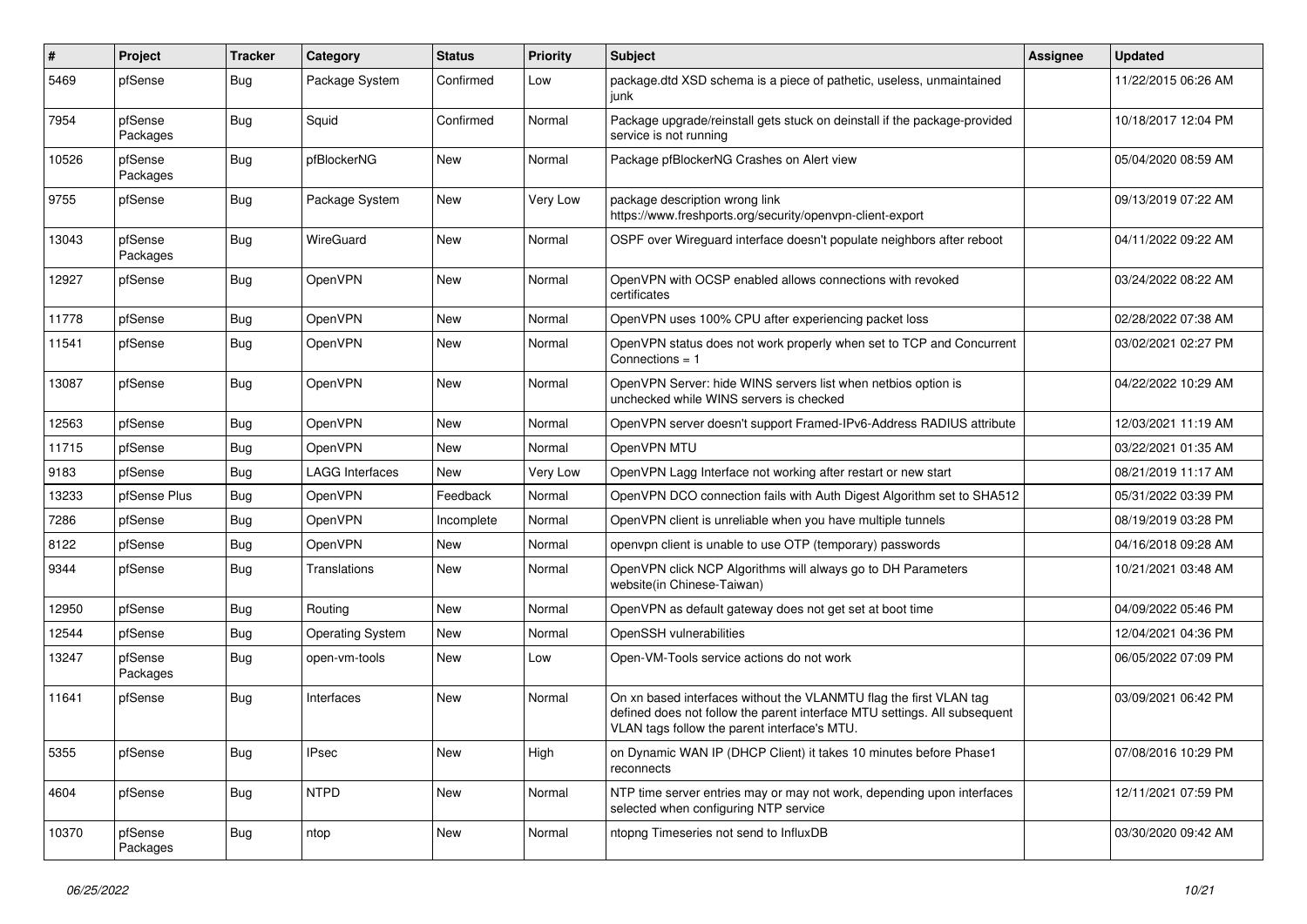| #     | Project             | <b>Tracker</b> | Category                | <b>Status</b> | <b>Priority</b> | Subject                                                                                                                                                                                         | Assignee | <b>Updated</b>      |
|-------|---------------------|----------------|-------------------------|---------------|-----------------|-------------------------------------------------------------------------------------------------------------------------------------------------------------------------------------------------|----------|---------------------|
| 5469  | pfSense             | Bug            | Package System          | Confirmed     | Low             | package.dtd XSD schema is a piece of pathetic, useless, unmaintained<br>junk                                                                                                                    |          | 11/22/2015 06:26 AM |
| 7954  | pfSense<br>Packages | Bug            | Squid                   | Confirmed     | Normal          | Package upgrade/reinstall gets stuck on deinstall if the package-provided<br>service is not running                                                                                             |          | 10/18/2017 12:04 PM |
| 10526 | pfSense<br>Packages | <b>Bug</b>     | pfBlockerNG             | New           | Normal          | Package pfBlockerNG Crashes on Alert view                                                                                                                                                       |          | 05/04/2020 08:59 AM |
| 9755  | pfSense             | <b>Bug</b>     | Package System          | New           | Very Low        | package description wrong link<br>https://www.freshports.org/security/openvpn-client-export                                                                                                     |          | 09/13/2019 07:22 AM |
| 13043 | pfSense<br>Packages | Bug            | WireGuard               | <b>New</b>    | Normal          | OSPF over Wireguard interface doesn't populate neighbors after reboot                                                                                                                           |          | 04/11/2022 09:22 AM |
| 12927 | pfSense             | Bug            | OpenVPN                 | <b>New</b>    | Normal          | OpenVPN with OCSP enabled allows connections with revoked<br>certificates                                                                                                                       |          | 03/24/2022 08:22 AM |
| 11778 | pfSense             | <b>Bug</b>     | OpenVPN                 | <b>New</b>    | Normal          | OpenVPN uses 100% CPU after experiencing packet loss                                                                                                                                            |          | 02/28/2022 07:38 AM |
| 11541 | pfSense             | <b>Bug</b>     | OpenVPN                 | New           | Normal          | OpenVPN status does not work properly when set to TCP and Concurrent<br>Connections $= 1$                                                                                                       |          | 03/02/2021 02:27 PM |
| 13087 | pfSense             | Bug            | OpenVPN                 | New           | Normal          | OpenVPN Server: hide WINS servers list when netbios option is<br>unchecked while WINS servers is checked                                                                                        |          | 04/22/2022 10:29 AM |
| 12563 | pfSense             | Bug            | OpenVPN                 | New           | Normal          | OpenVPN server doesn't support Framed-IPv6-Address RADIUS attribute                                                                                                                             |          | 12/03/2021 11:19 AM |
| 11715 | pfSense             | <b>Bug</b>     | OpenVPN                 | New           | Normal          | OpenVPN MTU                                                                                                                                                                                     |          | 03/22/2021 01:35 AM |
| 9183  | pfSense             | <b>Bug</b>     | <b>LAGG Interfaces</b>  | New           | Very Low        | OpenVPN Lagg Interface not working after restart or new start                                                                                                                                   |          | 08/21/2019 11:17 AM |
| 13233 | pfSense Plus        | <b>Bug</b>     | OpenVPN                 | Feedback      | Normal          | OpenVPN DCO connection fails with Auth Digest Algorithm set to SHA512                                                                                                                           |          | 05/31/2022 03:39 PM |
| 7286  | pfSense             | Bug            | OpenVPN                 | Incomplete    | Normal          | OpenVPN client is unreliable when you have multiple tunnels                                                                                                                                     |          | 08/19/2019 03:28 PM |
| 8122  | pfSense             | Bug            | OpenVPN                 | New           | Normal          | openvpn client is unable to use OTP (temporary) passwords                                                                                                                                       |          | 04/16/2018 09:28 AM |
| 9344  | pfSense             | <b>Bug</b>     | Translations            | <b>New</b>    | Normal          | OpenVPN click NCP Algorithms will always go to DH Parameters<br>website(in Chinese-Taiwan)                                                                                                      |          | 10/21/2021 03:48 AM |
| 12950 | pfSense             | Bug            | Routing                 | New           | Normal          | OpenVPN as default gateway does not get set at boot time                                                                                                                                        |          | 04/09/2022 05:46 PM |
| 12544 | pfSense             | Bug            | <b>Operating System</b> | New           | Normal          | OpenSSH vulnerabilities                                                                                                                                                                         |          | 12/04/2021 04:36 PM |
| 13247 | pfSense<br>Packages | Bug            | open-vm-tools           | New           | Low             | Open-VM-Tools service actions do not work                                                                                                                                                       |          | 06/05/2022 07:09 PM |
| 11641 | pfSense             | <b>Bug</b>     | Interfaces              | <b>New</b>    | Normal          | On xn based interfaces without the VLANMTU flag the first VLAN tag<br>defined does not follow the parent interface MTU settings. All subsequent<br>VLAN tags follow the parent interface's MTU. |          | 03/09/2021 06:42 PM |
| 5355  | pfSense             | <b>Bug</b>     | <b>IPsec</b>            | New           | High            | on Dynamic WAN IP (DHCP Client) it takes 10 minutes before Phase1<br>reconnects                                                                                                                 |          | 07/08/2016 10:29 PM |
| 4604  | pfSense             | <b>Bug</b>     | <b>NTPD</b>             | New           | Normal          | NTP time server entries may or may not work, depending upon interfaces<br>selected when configuring NTP service                                                                                 |          | 12/11/2021 07:59 PM |
| 10370 | pfSense<br>Packages | <b>Bug</b>     | ntop                    | New           | Normal          | ntopng Timeseries not send to InfluxDB                                                                                                                                                          |          | 03/30/2020 09:42 AM |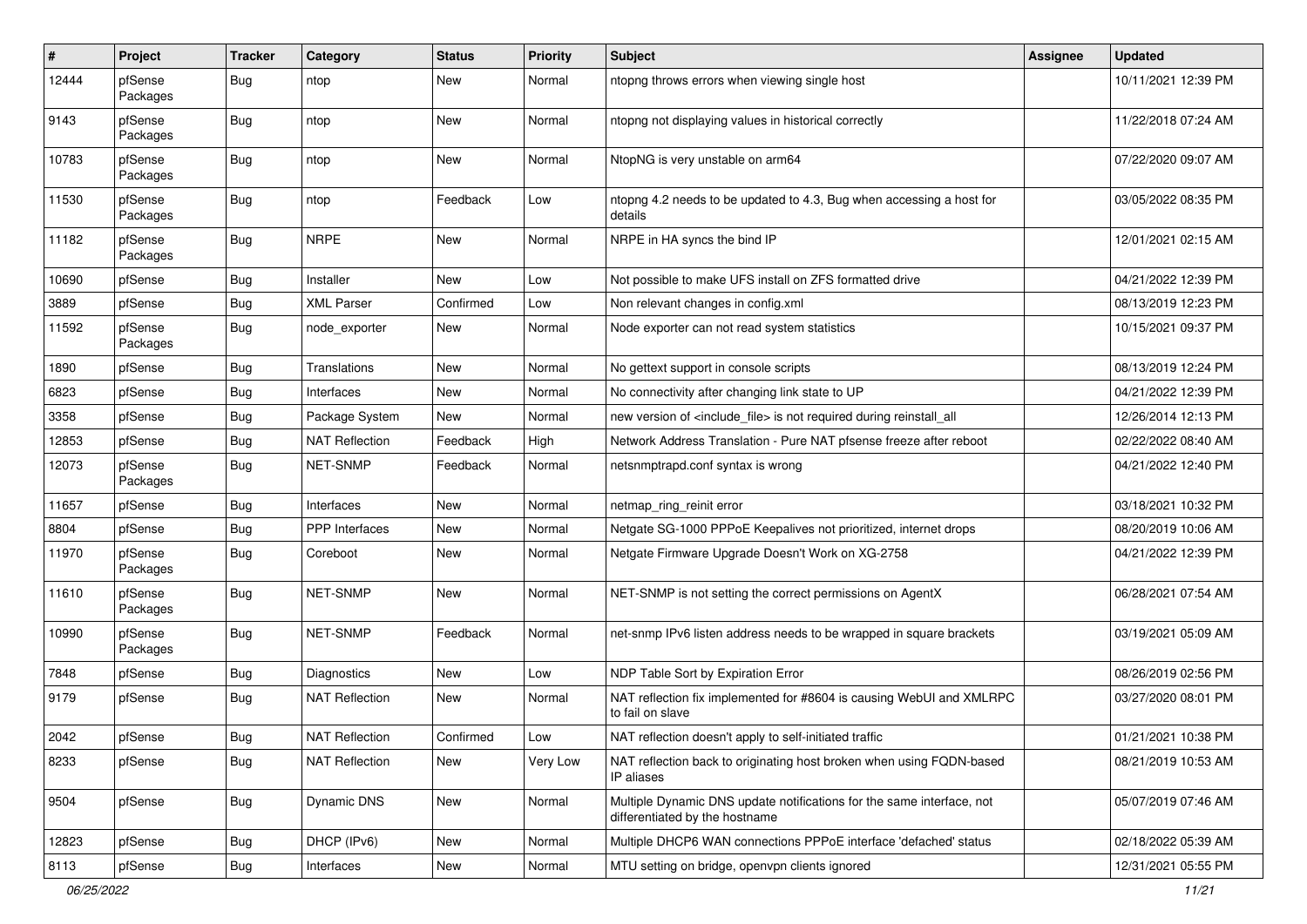| #     | Project             | <b>Tracker</b> | Category              | <b>Status</b> | <b>Priority</b> | <b>Subject</b>                                                                                          | <b>Assignee</b> | <b>Updated</b>      |
|-------|---------------------|----------------|-----------------------|---------------|-----------------|---------------------------------------------------------------------------------------------------------|-----------------|---------------------|
| 12444 | pfSense<br>Packages | Bug            | ntop                  | New           | Normal          | ntopng throws errors when viewing single host                                                           |                 | 10/11/2021 12:39 PM |
| 9143  | pfSense<br>Packages | Bug            | ntop                  | New           | Normal          | ntopng not displaying values in historical correctly                                                    |                 | 11/22/2018 07:24 AM |
| 10783 | pfSense<br>Packages | <b>Bug</b>     | ntop                  | New           | Normal          | NtopNG is very unstable on arm64                                                                        |                 | 07/22/2020 09:07 AM |
| 11530 | pfSense<br>Packages | Bug            | ntop                  | Feedback      | Low             | ntopng 4.2 needs to be updated to 4.3, Bug when accessing a host for<br>details                         |                 | 03/05/2022 08:35 PM |
| 11182 | pfSense<br>Packages | <b>Bug</b>     | <b>NRPE</b>           | New           | Normal          | NRPE in HA syncs the bind IP                                                                            |                 | 12/01/2021 02:15 AM |
| 10690 | pfSense             | <b>Bug</b>     | Installer             | New           | Low             | Not possible to make UFS install on ZFS formatted drive                                                 |                 | 04/21/2022 12:39 PM |
| 3889  | pfSense             | Bug            | <b>XML Parser</b>     | Confirmed     | Low             | Non relevant changes in config.xml                                                                      |                 | 08/13/2019 12:23 PM |
| 11592 | pfSense<br>Packages | <b>Bug</b>     | node exporter         | New           | Normal          | Node exporter can not read system statistics                                                            |                 | 10/15/2021 09:37 PM |
| 1890  | pfSense             | Bug            | Translations          | <b>New</b>    | Normal          | No gettext support in console scripts                                                                   |                 | 08/13/2019 12:24 PM |
| 6823  | pfSense             | Bug            | Interfaces            | <b>New</b>    | Normal          | No connectivity after changing link state to UP                                                         |                 | 04/21/2022 12:39 PM |
| 3358  | pfSense             | Bug            | Package System        | New           | Normal          | new version of <include file=""> is not required during reinstall all</include>                         |                 | 12/26/2014 12:13 PM |
| 12853 | pfSense             | Bug            | <b>NAT Reflection</b> | Feedback      | High            | Network Address Translation - Pure NAT pfsense freeze after reboot                                      |                 | 02/22/2022 08:40 AM |
| 12073 | pfSense<br>Packages | Bug            | NET-SNMP              | Feedback      | Normal          | netsnmptrapd.conf syntax is wrong                                                                       |                 | 04/21/2022 12:40 PM |
| 11657 | pfSense             | Bug            | Interfaces            | New           | Normal          | netmap_ring_reinit error                                                                                |                 | 03/18/2021 10:32 PM |
| 8804  | pfSense             | Bug            | <b>PPP</b> Interfaces | New           | Normal          | Netgate SG-1000 PPPoE Keepalives not prioritized, internet drops                                        |                 | 08/20/2019 10:06 AM |
| 11970 | pfSense<br>Packages | Bug            | Coreboot              | New           | Normal          | Netgate Firmware Upgrade Doesn't Work on XG-2758                                                        |                 | 04/21/2022 12:39 PM |
| 11610 | pfSense<br>Packages | Bug            | NET-SNMP              | New           | Normal          | NET-SNMP is not setting the correct permissions on AgentX                                               |                 | 06/28/2021 07:54 AM |
| 10990 | pfSense<br>Packages | <b>Bug</b>     | NET-SNMP              | Feedback      | Normal          | net-snmp IPv6 listen address needs to be wrapped in square brackets                                     |                 | 03/19/2021 05:09 AM |
| 7848  | pfSense             | Bug            | <b>Diagnostics</b>    | New           | Low             | NDP Table Sort by Expiration Error                                                                      |                 | 08/26/2019 02:56 PM |
| 9179  | pfSense             | Bug            | <b>NAT Reflection</b> | <b>New</b>    | Normal          | NAT reflection fix implemented for #8604 is causing WebUI and XMLRPC<br>to fail on slave                |                 | 03/27/2020 08:01 PM |
| 2042  | pfSense             | Bug            | <b>NAT Reflection</b> | Confirmed     | Low             | NAT reflection doesn't apply to self-initiated traffic                                                  |                 | 01/21/2021 10:38 PM |
| 8233  | pfSense             | <b>Bug</b>     | <b>NAT Reflection</b> | New           | Very Low        | NAT reflection back to originating host broken when using FQDN-based<br>IP aliases                      |                 | 08/21/2019 10:53 AM |
| 9504  | pfSense             | <b>Bug</b>     | Dynamic DNS           | New           | Normal          | Multiple Dynamic DNS update notifications for the same interface, not<br>differentiated by the hostname |                 | 05/07/2019 07:46 AM |
| 12823 | pfSense             | <b>Bug</b>     | DHCP (IPv6)           | New           | Normal          | Multiple DHCP6 WAN connections PPPoE interface 'defached' status                                        |                 | 02/18/2022 05:39 AM |
| 8113  | pfSense             | <b>Bug</b>     | Interfaces            | New           | Normal          | MTU setting on bridge, openvpn clients ignored                                                          |                 | 12/31/2021 05:55 PM |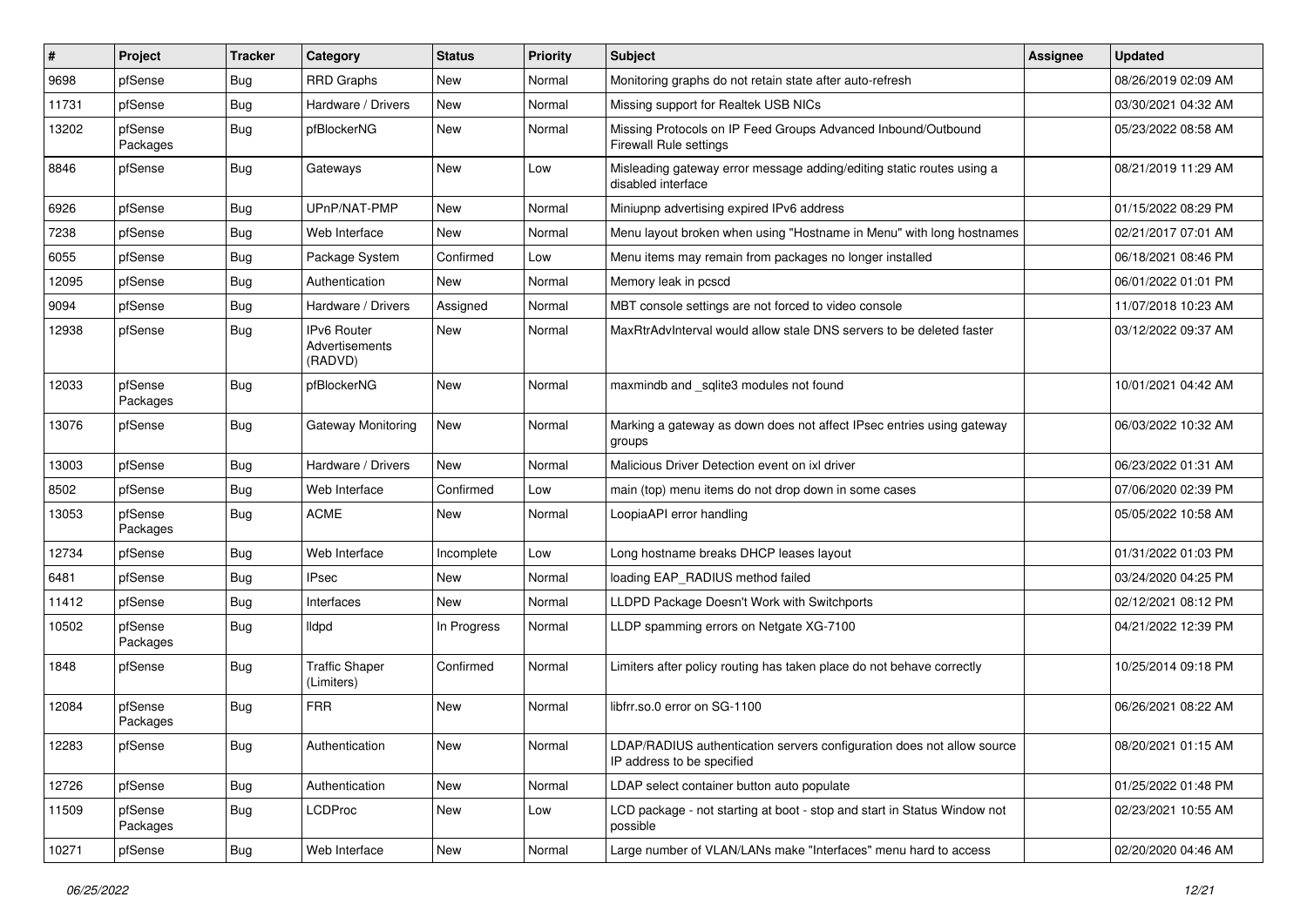| $\#$  | Project             | <b>Tracker</b> | Category                                 | <b>Status</b> | <b>Priority</b> | <b>Subject</b>                                                                                       | <b>Assignee</b> | <b>Updated</b>      |
|-------|---------------------|----------------|------------------------------------------|---------------|-----------------|------------------------------------------------------------------------------------------------------|-----------------|---------------------|
| 9698  | pfSense             | <b>Bug</b>     | <b>RRD Graphs</b>                        | New           | Normal          | Monitoring graphs do not retain state after auto-refresh                                             |                 | 08/26/2019 02:09 AM |
| 11731 | pfSense             | <b>Bug</b>     | Hardware / Drivers                       | <b>New</b>    | Normal          | Missing support for Realtek USB NICs                                                                 |                 | 03/30/2021 04:32 AM |
| 13202 | pfSense<br>Packages | <b>Bug</b>     | pfBlockerNG                              | <b>New</b>    | Normal          | Missing Protocols on IP Feed Groups Advanced Inbound/Outbound<br>Firewall Rule settings              |                 | 05/23/2022 08:58 AM |
| 8846  | pfSense             | Bug            | Gateways                                 | <b>New</b>    | Low             | Misleading gateway error message adding/editing static routes using a<br>disabled interface          |                 | 08/21/2019 11:29 AM |
| 6926  | pfSense             | Bug            | UPnP/NAT-PMP                             | New           | Normal          | Miniupnp advertising expired IPv6 address                                                            |                 | 01/15/2022 08:29 PM |
| 7238  | pfSense             | Bug            | Web Interface                            | <b>New</b>    | Normal          | Menu layout broken when using "Hostname in Menu" with long hostnames                                 |                 | 02/21/2017 07:01 AM |
| 6055  | pfSense             | Bug            | Package System                           | Confirmed     | Low             | Menu items may remain from packages no longer installed                                              |                 | 06/18/2021 08:46 PM |
| 12095 | pfSense             | <b>Bug</b>     | Authentication                           | New           | Normal          | Memory leak in pcscd                                                                                 |                 | 06/01/2022 01:01 PM |
| 9094  | pfSense             | Bug            | Hardware / Drivers                       | Assigned      | Normal          | MBT console settings are not forced to video console                                                 |                 | 11/07/2018 10:23 AM |
| 12938 | pfSense             | Bug            | IPv6 Router<br>Advertisements<br>(RADVD) | <b>New</b>    | Normal          | MaxRtrAdvInterval would allow stale DNS servers to be deleted faster                                 |                 | 03/12/2022 09:37 AM |
| 12033 | pfSense<br>Packages | Bug            | pfBlockerNG                              | <b>New</b>    | Normal          | maxmindb and sqlite3 modules not found                                                               |                 | 10/01/2021 04:42 AM |
| 13076 | pfSense             | Bug            | Gateway Monitoring                       | <b>New</b>    | Normal          | Marking a gateway as down does not affect IPsec entries using gateway<br>groups                      |                 | 06/03/2022 10:32 AM |
| 13003 | pfSense             | Bug            | Hardware / Drivers                       | New           | Normal          | Malicious Driver Detection event on ixl driver                                                       |                 | 06/23/2022 01:31 AM |
| 8502  | pfSense             | <b>Bug</b>     | Web Interface                            | Confirmed     | Low             | main (top) menu items do not drop down in some cases                                                 |                 | 07/06/2020 02:39 PM |
| 13053 | pfSense<br>Packages | <b>Bug</b>     | <b>ACME</b>                              | <b>New</b>    | Normal          | LoopiaAPI error handling                                                                             |                 | 05/05/2022 10:58 AM |
| 12734 | pfSense             | <b>Bug</b>     | Web Interface                            | Incomplete    | Low             | Long hostname breaks DHCP leases layout                                                              |                 | 01/31/2022 01:03 PM |
| 6481  | pfSense             | Bug            | <b>IPsec</b>                             | <b>New</b>    | Normal          | loading EAP_RADIUS method failed                                                                     |                 | 03/24/2020 04:25 PM |
| 11412 | pfSense             | Bug            | Interfaces                               | New           | Normal          | LLDPD Package Doesn't Work with Switchports                                                          |                 | 02/12/2021 08:12 PM |
| 10502 | pfSense<br>Packages | <b>Bug</b>     | lldpd                                    | In Progress   | Normal          | LLDP spamming errors on Netgate XG-7100                                                              |                 | 04/21/2022 12:39 PM |
| 1848  | pfSense             | <b>Bug</b>     | <b>Traffic Shaper</b><br>(Limiters)      | Confirmed     | Normal          | Limiters after policy routing has taken place do not behave correctly                                |                 | 10/25/2014 09:18 PM |
| 12084 | pfSense<br>Packages | Bug            | <b>FRR</b>                               | New           | Normal          | libfrr.so.0 error on SG-1100                                                                         |                 | 06/26/2021 08:22 AM |
| 12283 | pfSense             | <b>Bug</b>     | Authentication                           | New           | Normal          | LDAP/RADIUS authentication servers configuration does not allow source<br>IP address to be specified |                 | 08/20/2021 01:15 AM |
| 12726 | pfSense             | <b>Bug</b>     | Authentication                           | New           | Normal          | LDAP select container button auto populate                                                           |                 | 01/25/2022 01:48 PM |
| 11509 | pfSense<br>Packages | <b>Bug</b>     | <b>LCDProc</b>                           | New           | Low             | LCD package - not starting at boot - stop and start in Status Window not<br>possible                 |                 | 02/23/2021 10:55 AM |
| 10271 | pfSense             | Bug            | Web Interface                            | New           | Normal          | Large number of VLAN/LANs make "Interfaces" menu hard to access                                      |                 | 02/20/2020 04:46 AM |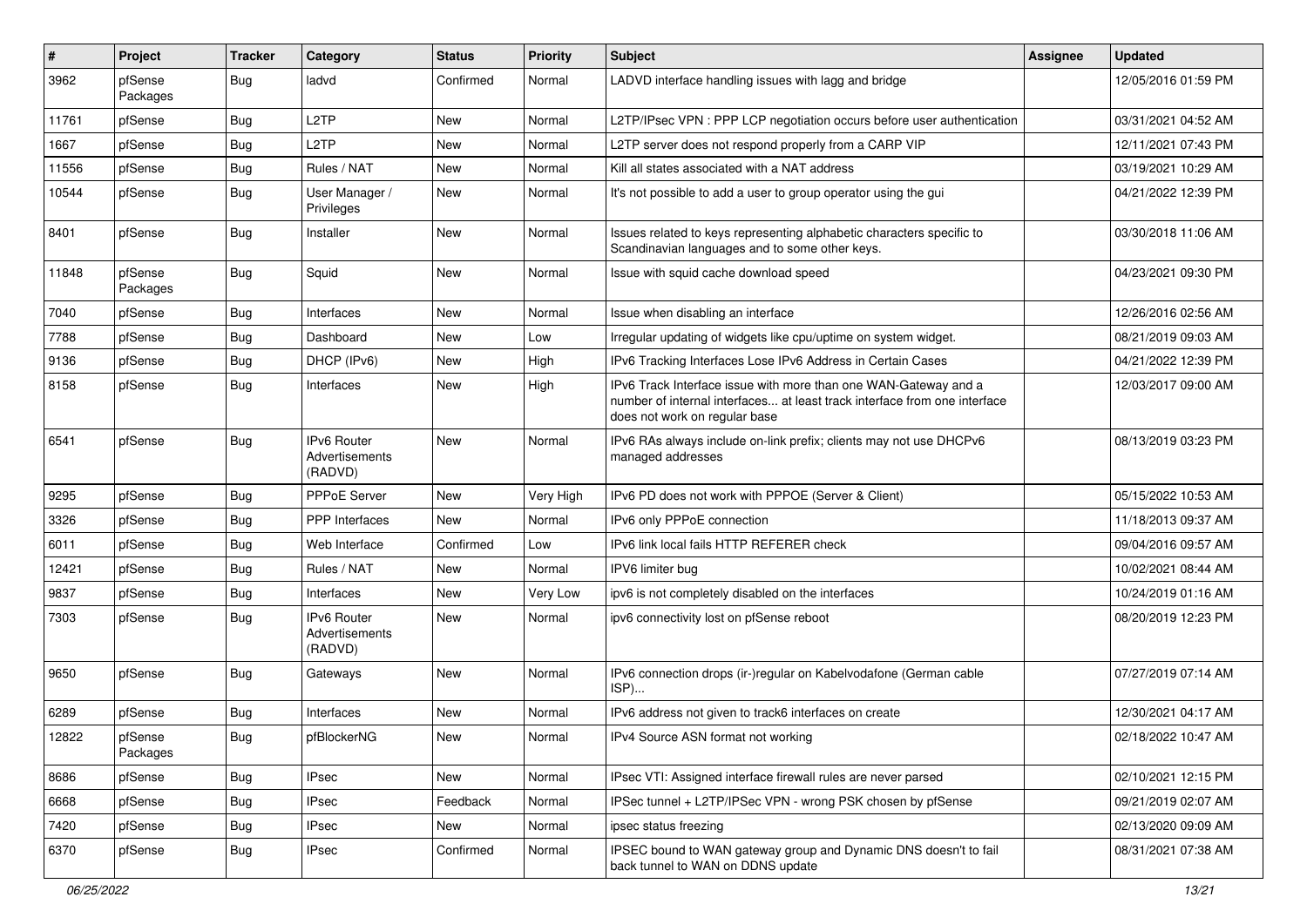| $\vert$ # | Project             | <b>Tracker</b> | Category                                 | <b>Status</b> | <b>Priority</b> | <b>Subject</b>                                                                                                                                                                | <b>Assignee</b> | <b>Updated</b>      |
|-----------|---------------------|----------------|------------------------------------------|---------------|-----------------|-------------------------------------------------------------------------------------------------------------------------------------------------------------------------------|-----------------|---------------------|
| 3962      | pfSense<br>Packages | Bug            | ladvd                                    | Confirmed     | Normal          | LADVD interface handling issues with lagg and bridge                                                                                                                          |                 | 12/05/2016 01:59 PM |
| 11761     | pfSense             | <b>Bug</b>     | L <sub>2</sub> TP                        | New           | Normal          | L2TP/IPsec VPN : PPP LCP negotiation occurs before user authentication                                                                                                        |                 | 03/31/2021 04:52 AM |
| 1667      | pfSense             | <b>Bug</b>     | L <sub>2</sub> TP                        | <b>New</b>    | Normal          | L2TP server does not respond properly from a CARP VIP                                                                                                                         |                 | 12/11/2021 07:43 PM |
| 11556     | pfSense             | Bug            | Rules / NAT                              | <b>New</b>    | Normal          | Kill all states associated with a NAT address                                                                                                                                 |                 | 03/19/2021 10:29 AM |
| 10544     | pfSense             | <b>Bug</b>     | User Manager /<br>Privileges             | New           | Normal          | It's not possible to add a user to group operator using the gui                                                                                                               |                 | 04/21/2022 12:39 PM |
| 8401      | pfSense             | Bug            | Installer                                | <b>New</b>    | Normal          | Issues related to keys representing alphabetic characters specific to<br>Scandinavian languages and to some other keys.                                                       |                 | 03/30/2018 11:06 AM |
| 11848     | pfSense<br>Packages | Bug            | Squid                                    | New           | Normal          | Issue with squid cache download speed                                                                                                                                         |                 | 04/23/2021 09:30 PM |
| 7040      | pfSense             | Bug            | Interfaces                               | New           | Normal          | Issue when disabling an interface                                                                                                                                             |                 | 12/26/2016 02:56 AM |
| 7788      | pfSense             | Bug            | Dashboard                                | New           | Low             | Irregular updating of widgets like cpu/uptime on system widget.                                                                                                               |                 | 08/21/2019 09:03 AM |
| 9136      | pfSense             | <b>Bug</b>     | DHCP (IPv6)                              | New           | High            | IPv6 Tracking Interfaces Lose IPv6 Address in Certain Cases                                                                                                                   |                 | 04/21/2022 12:39 PM |
| 8158      | pfSense             | Bug            | Interfaces                               | <b>New</b>    | High            | IPv6 Track Interface issue with more than one WAN-Gateway and a<br>number of internal interfaces at least track interface from one interface<br>does not work on regular base |                 | 12/03/2017 09:00 AM |
| 6541      | pfSense             | <b>Bug</b>     | IPv6 Router<br>Advertisements<br>(RADVD) | <b>New</b>    | Normal          | IPv6 RAs always include on-link prefix; clients may not use DHCPv6<br>managed addresses                                                                                       |                 | 08/13/2019 03:23 PM |
| 9295      | pfSense             | Bug            | <b>PPPoE Server</b>                      | <b>New</b>    | Very High       | IPv6 PD does not work with PPPOE (Server & Client)                                                                                                                            |                 | 05/15/2022 10:53 AM |
| 3326      | pfSense             | <b>Bug</b>     | PPP Interfaces                           | New           | Normal          | IPv6 only PPPoE connection                                                                                                                                                    |                 | 11/18/2013 09:37 AM |
| 6011      | pfSense             | Bug            | Web Interface                            | Confirmed     | Low             | IPv6 link local fails HTTP REFERER check                                                                                                                                      |                 | 09/04/2016 09:57 AM |
| 12421     | pfSense             | Bug            | Rules / NAT                              | New           | Normal          | IPV6 limiter bug                                                                                                                                                              |                 | 10/02/2021 08:44 AM |
| 9837      | pfSense             | <b>Bug</b>     | Interfaces                               | New           | Very Low        | ipv6 is not completely disabled on the interfaces                                                                                                                             |                 | 10/24/2019 01:16 AM |
| 7303      | pfSense             | Bug            | IPv6 Router<br>Advertisements<br>(RADVD) | New           | Normal          | ipv6 connectivity lost on pfSense reboot                                                                                                                                      |                 | 08/20/2019 12:23 PM |
| 9650      | pfSense             | Bug            | Gateways                                 | New           | Normal          | IPv6 connection drops (ir-)regular on Kabelvodafone (German cable<br>ISP)                                                                                                     |                 | 07/27/2019 07:14 AM |
| 6289      | pfSense             | Bug            | Interfaces                               | New           | Normal          | IPv6 address not given to track6 interfaces on create                                                                                                                         |                 | 12/30/2021 04:17 AM |
| 12822     | pfSense<br>Packages | Bug            | pfBlockerNG                              | New           | Normal          | IPv4 Source ASN format not working                                                                                                                                            |                 | 02/18/2022 10:47 AM |
| 8686      | pfSense             | <b>Bug</b>     | <b>IPsec</b>                             | New           | Normal          | IPsec VTI: Assigned interface firewall rules are never parsed                                                                                                                 |                 | 02/10/2021 12:15 PM |
| 6668      | pfSense             | Bug            | <b>IPsec</b>                             | Feedback      | Normal          | IPSec tunnel + L2TP/IPSec VPN - wrong PSK chosen by pfSense                                                                                                                   |                 | 09/21/2019 02:07 AM |
| 7420      | pfSense             | Bug            | <b>IPsec</b>                             | New           | Normal          | ipsec status freezing                                                                                                                                                         |                 | 02/13/2020 09:09 AM |
| 6370      | pfSense             | Bug            | <b>IPsec</b>                             | Confirmed     | Normal          | IPSEC bound to WAN gateway group and Dynamic DNS doesn't to fail<br>back tunnel to WAN on DDNS update                                                                         |                 | 08/31/2021 07:38 AM |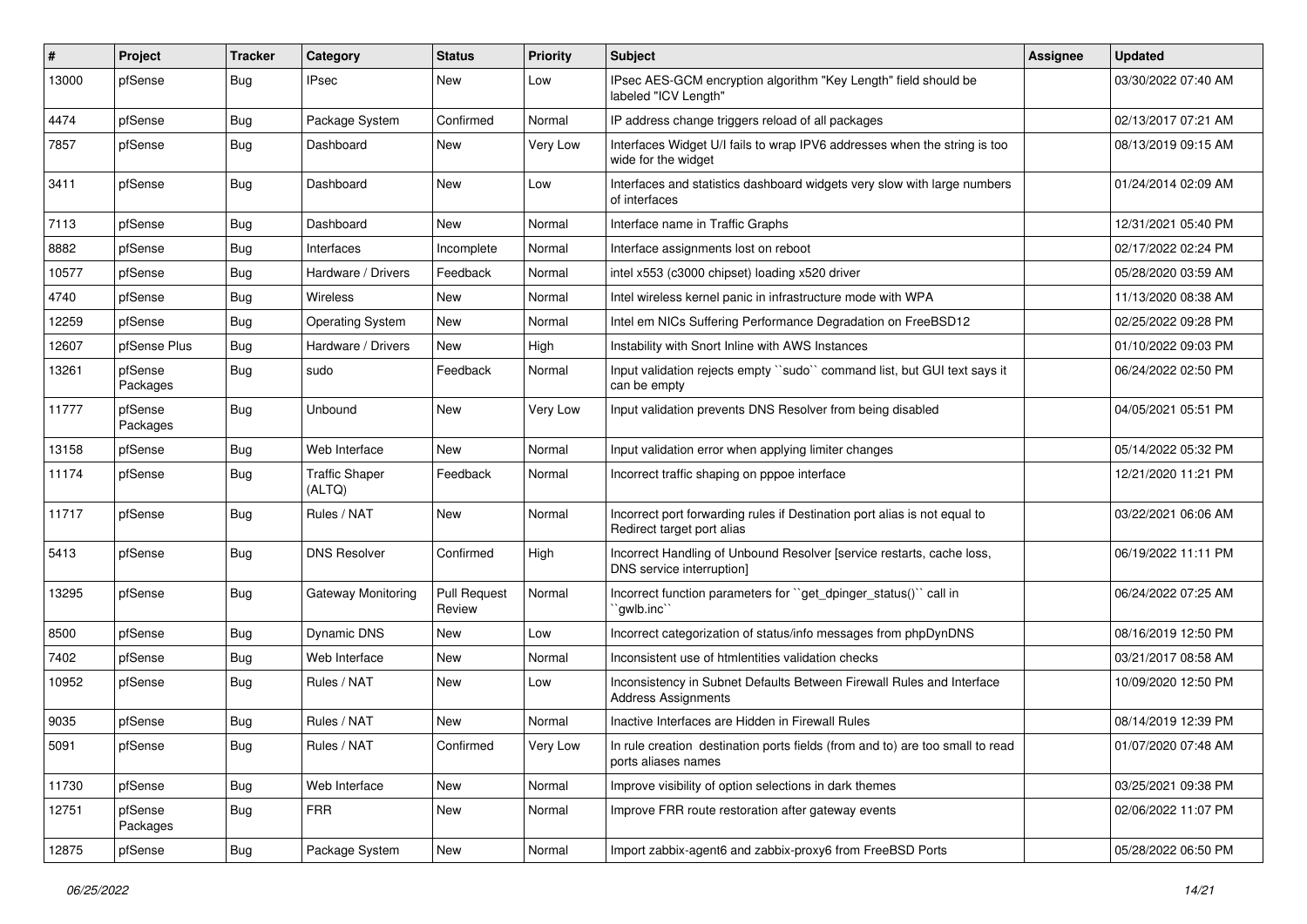| #     | Project             | <b>Tracker</b> | Category                        | <b>Status</b>                 | <b>Priority</b> | <b>Subject</b>                                                                                          | <b>Assignee</b> | <b>Updated</b>      |
|-------|---------------------|----------------|---------------------------------|-------------------------------|-----------------|---------------------------------------------------------------------------------------------------------|-----------------|---------------------|
| 13000 | pfSense             | Bug            | <b>IPsec</b>                    | New                           | Low             | IPsec AES-GCM encryption algorithm "Key Length" field should be<br>labeled "ICV Length"                 |                 | 03/30/2022 07:40 AM |
| 4474  | pfSense             | Bug            | Package System                  | Confirmed                     | Normal          | IP address change triggers reload of all packages                                                       |                 | 02/13/2017 07:21 AM |
| 7857  | pfSense             | Bug            | Dashboard                       | New                           | Very Low        | Interfaces Widget U/I fails to wrap IPV6 addresses when the string is too<br>wide for the widget        |                 | 08/13/2019 09:15 AM |
| 3411  | pfSense             | Bug            | Dashboard                       | <b>New</b>                    | Low             | Interfaces and statistics dashboard widgets very slow with large numbers<br>of interfaces               |                 | 01/24/2014 02:09 AM |
| 7113  | pfSense             | Bug            | Dashboard                       | <b>New</b>                    | Normal          | Interface name in Traffic Graphs                                                                        |                 | 12/31/2021 05:40 PM |
| 8882  | pfSense             | Bug            | Interfaces                      | Incomplete                    | Normal          | Interface assignments lost on reboot                                                                    |                 | 02/17/2022 02:24 PM |
| 10577 | pfSense             | Bug            | Hardware / Drivers              | Feedback                      | Normal          | intel x553 (c3000 chipset) loading x520 driver                                                          |                 | 05/28/2020 03:59 AM |
| 4740  | pfSense             | Bug            | <b>Wireless</b>                 | New                           | Normal          | Intel wireless kernel panic in infrastructure mode with WPA                                             |                 | 11/13/2020 08:38 AM |
| 12259 | pfSense             | Bug            | <b>Operating System</b>         | New                           | Normal          | Intel em NICs Suffering Performance Degradation on FreeBSD12                                            |                 | 02/25/2022 09:28 PM |
| 12607 | pfSense Plus        | Bug            | Hardware / Drivers              | <b>New</b>                    | High            | Instability with Snort Inline with AWS Instances                                                        |                 | 01/10/2022 09:03 PM |
| 13261 | pfSense<br>Packages | Bug            | sudo                            | Feedback                      | Normal          | Input validation rejects empty "sudo" command list, but GUI text says it<br>can be empty                |                 | 06/24/2022 02:50 PM |
| 11777 | pfSense<br>Packages | Bug            | Unbound                         | New                           | Very Low        | Input validation prevents DNS Resolver from being disabled                                              |                 | 04/05/2021 05:51 PM |
| 13158 | pfSense             | Bug            | Web Interface                   | <b>New</b>                    | Normal          | Input validation error when applying limiter changes                                                    |                 | 05/14/2022 05:32 PM |
| 11174 | pfSense             | Bug            | <b>Traffic Shaper</b><br>(ALTQ) | Feedback                      | Normal          | Incorrect traffic shaping on pppoe interface                                                            |                 | 12/21/2020 11:21 PM |
| 11717 | pfSense             | <b>Bug</b>     | Rules / NAT                     | New                           | Normal          | Incorrect port forwarding rules if Destination port alias is not equal to<br>Redirect target port alias |                 | 03/22/2021 06:06 AM |
| 5413  | pfSense             | Bug            | <b>DNS Resolver</b>             | Confirmed                     | High            | Incorrect Handling of Unbound Resolver [service restarts, cache loss,<br>DNS service interruption]      |                 | 06/19/2022 11:11 PM |
| 13295 | pfSense             | Bug            | Gateway Monitoring              | <b>Pull Request</b><br>Review | Normal          | Incorrect function parameters for "get_dpinger_status()" call in<br>`gwlb.inc``                         |                 | 06/24/2022 07:25 AM |
| 8500  | pfSense             | Bug            | <b>Dynamic DNS</b>              | <b>New</b>                    | Low             | Incorrect categorization of status/info messages from phpDynDNS                                         |                 | 08/16/2019 12:50 PM |
| 7402  | pfSense             | Bug            | Web Interface                   | New                           | Normal          | Inconsistent use of htmlentities validation checks                                                      |                 | 03/21/2017 08:58 AM |
| 10952 | pfSense             | Bug            | Rules / NAT                     | New                           | Low             | Inconsistency in Subnet Defaults Between Firewall Rules and Interface<br><b>Address Assignments</b>     |                 | 10/09/2020 12:50 PM |
| 9035  | pfSense             | Bug            | Rules / NAT                     | <b>New</b>                    | Normal          | Inactive Interfaces are Hidden in Firewall Rules                                                        |                 | 08/14/2019 12:39 PM |
| 5091  | pfSense             | <b>Bug</b>     | Rules / NAT                     | Confirmed                     | Very Low        | In rule creation destination ports fields (from and to) are too small to read<br>ports aliases names    |                 | 01/07/2020 07:48 AM |
| 11730 | pfSense             | <b>Bug</b>     | Web Interface                   | New                           | Normal          | Improve visibility of option selections in dark themes                                                  |                 | 03/25/2021 09:38 PM |
| 12751 | pfSense<br>Packages | <b>Bug</b>     | <b>FRR</b>                      | New                           | Normal          | Improve FRR route restoration after gateway events                                                      |                 | 02/06/2022 11:07 PM |
| 12875 | pfSense             | <b>Bug</b>     | Package System                  | New                           | Normal          | Import zabbix-agent6 and zabbix-proxy6 from FreeBSD Ports                                               |                 | 05/28/2022 06:50 PM |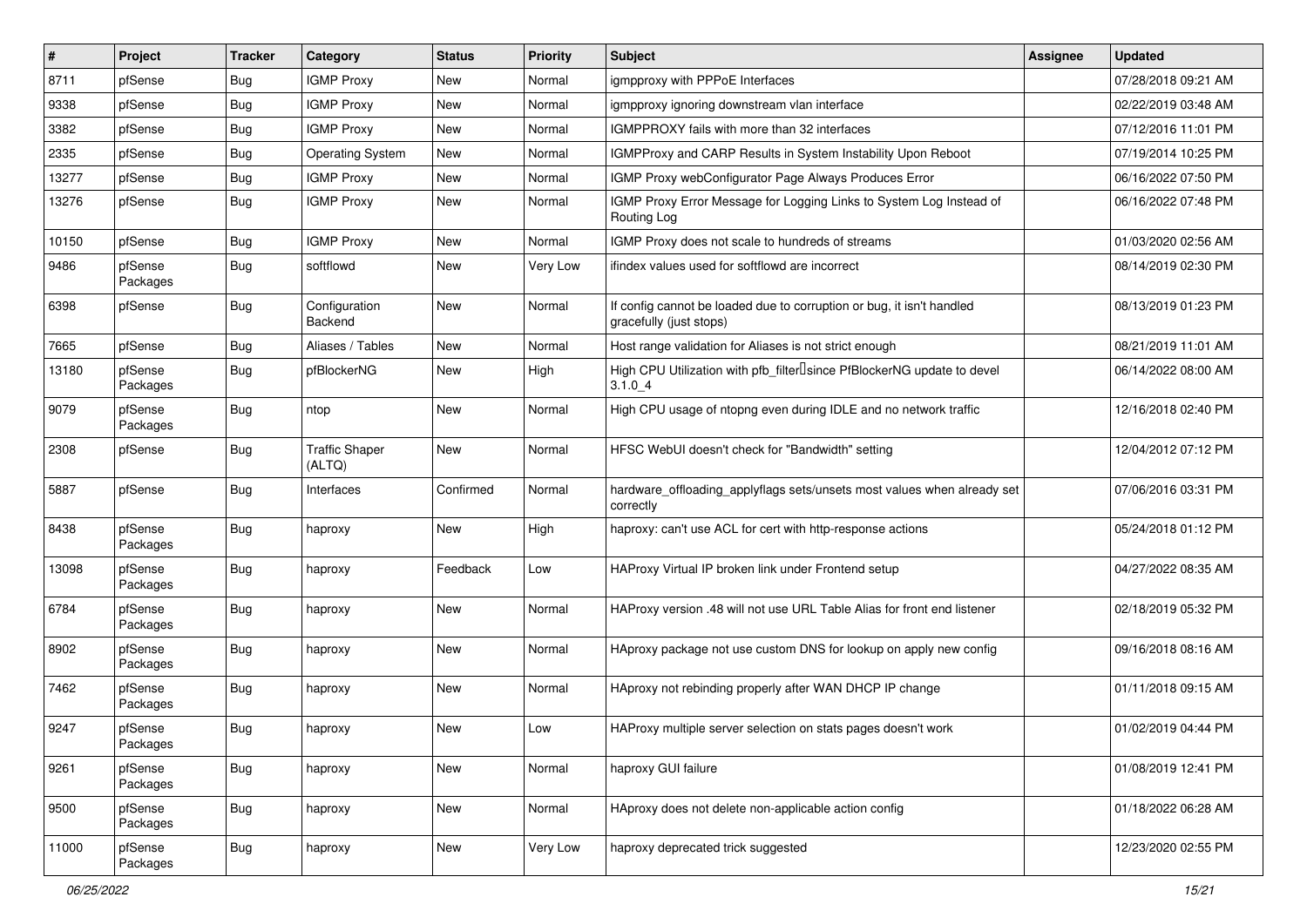| $\vert$ # | Project             | <b>Tracker</b> | Category                        | <b>Status</b> | <b>Priority</b> | <b>Subject</b>                                                                                   | <b>Assignee</b> | <b>Updated</b>      |
|-----------|---------------------|----------------|---------------------------------|---------------|-----------------|--------------------------------------------------------------------------------------------------|-----------------|---------------------|
| 8711      | pfSense             | Bug            | <b>IGMP Proxy</b>               | New           | Normal          | igmpproxy with PPPoE Interfaces                                                                  |                 | 07/28/2018 09:21 AM |
| 9338      | pfSense             | Bug            | <b>IGMP Proxy</b>               | <b>New</b>    | Normal          | igmpproxy ignoring downstream vlan interface                                                     |                 | 02/22/2019 03:48 AM |
| 3382      | pfSense             | Bug            | <b>IGMP Proxy</b>               | <b>New</b>    | Normal          | IGMPPROXY fails with more than 32 interfaces                                                     |                 | 07/12/2016 11:01 PM |
| 2335      | pfSense             | Bug            | <b>Operating System</b>         | New           | Normal          | IGMPProxy and CARP Results in System Instability Upon Reboot                                     |                 | 07/19/2014 10:25 PM |
| 13277     | pfSense             | <b>Bug</b>     | <b>IGMP Proxy</b>               | <b>New</b>    | Normal          | IGMP Proxy webConfigurator Page Always Produces Error                                            |                 | 06/16/2022 07:50 PM |
| 13276     | pfSense             | Bug            | <b>IGMP Proxy</b>               | <b>New</b>    | Normal          | IGMP Proxy Error Message for Logging Links to System Log Instead of<br>Routing Log               |                 | 06/16/2022 07:48 PM |
| 10150     | pfSense             | <b>Bug</b>     | <b>IGMP Proxy</b>               | New           | Normal          | IGMP Proxy does not scale to hundreds of streams                                                 |                 | 01/03/2020 02:56 AM |
| 9486      | pfSense<br>Packages | Bug            | softflowd                       | New           | Very Low        | ifindex values used for softflowd are incorrect                                                  |                 | 08/14/2019 02:30 PM |
| 6398      | pfSense             | <b>Bug</b>     | Configuration<br>Backend        | New           | Normal          | If config cannot be loaded due to corruption or bug, it isn't handled<br>gracefully (just stops) |                 | 08/13/2019 01:23 PM |
| 7665      | pfSense             | <b>Bug</b>     | Aliases / Tables                | New           | Normal          | Host range validation for Aliases is not strict enough                                           |                 | 08/21/2019 11:01 AM |
| 13180     | pfSense<br>Packages | Bug            | pfBlockerNG                     | New           | High            | High CPU Utilization with pfb_filter <sup>[]</sup> since PfBlockerNG update to devel<br>3.1.04   |                 | 06/14/2022 08:00 AM |
| 9079      | pfSense<br>Packages | <b>Bug</b>     | ntop                            | New           | Normal          | High CPU usage of ntopng even during IDLE and no network traffic                                 |                 | 12/16/2018 02:40 PM |
| 2308      | pfSense             | <b>Bug</b>     | <b>Traffic Shaper</b><br>(ALTQ) | New           | Normal          | HFSC WebUI doesn't check for "Bandwidth" setting                                                 |                 | 12/04/2012 07:12 PM |
| 5887      | pfSense             | Bug            | Interfaces                      | Confirmed     | Normal          | hardware_offloading_applyflags sets/unsets most values when already set<br>correctly             |                 | 07/06/2016 03:31 PM |
| 8438      | pfSense<br>Packages | <b>Bug</b>     | haproxy                         | New           | High            | haproxy: can't use ACL for cert with http-response actions                                       |                 | 05/24/2018 01:12 PM |
| 13098     | pfSense<br>Packages | <b>Bug</b>     | haproxy                         | Feedback      | Low             | HAProxy Virtual IP broken link under Frontend setup                                              |                 | 04/27/2022 08:35 AM |
| 6784      | pfSense<br>Packages | <b>Bug</b>     | haproxy                         | New           | Normal          | HAProxy version .48 will not use URL Table Alias for front end listener                          |                 | 02/18/2019 05:32 PM |
| 8902      | pfSense<br>Packages | Bug            | haproxy                         | New           | Normal          | HAproxy package not use custom DNS for lookup on apply new config                                |                 | 09/16/2018 08:16 AM |
| 7462      | pfSense<br>Packages | Bug            | haproxy                         | New           | Normal          | HAproxy not rebinding properly after WAN DHCP IP change                                          |                 | 01/11/2018 09:15 AM |
| 9247      | pfSense<br>Packages | Bug            | haproxy                         | New           | Low             | HAProxy multiple server selection on stats pages doesn't work                                    |                 | 01/02/2019 04:44 PM |
| 9261      | pfSense<br>Packages | <b>Bug</b>     | haproxy                         | <b>New</b>    | Normal          | haproxy GUI failure                                                                              |                 | 01/08/2019 12:41 PM |
| 9500      | pfSense<br>Packages | <b>Bug</b>     | haproxy                         | New           | Normal          | HAproxy does not delete non-applicable action config                                             |                 | 01/18/2022 06:28 AM |
| 11000     | pfSense<br>Packages | <b>Bug</b>     | haproxy                         | New           | Very Low        | haproxy deprecated trick suggested                                                               |                 | 12/23/2020 02:55 PM |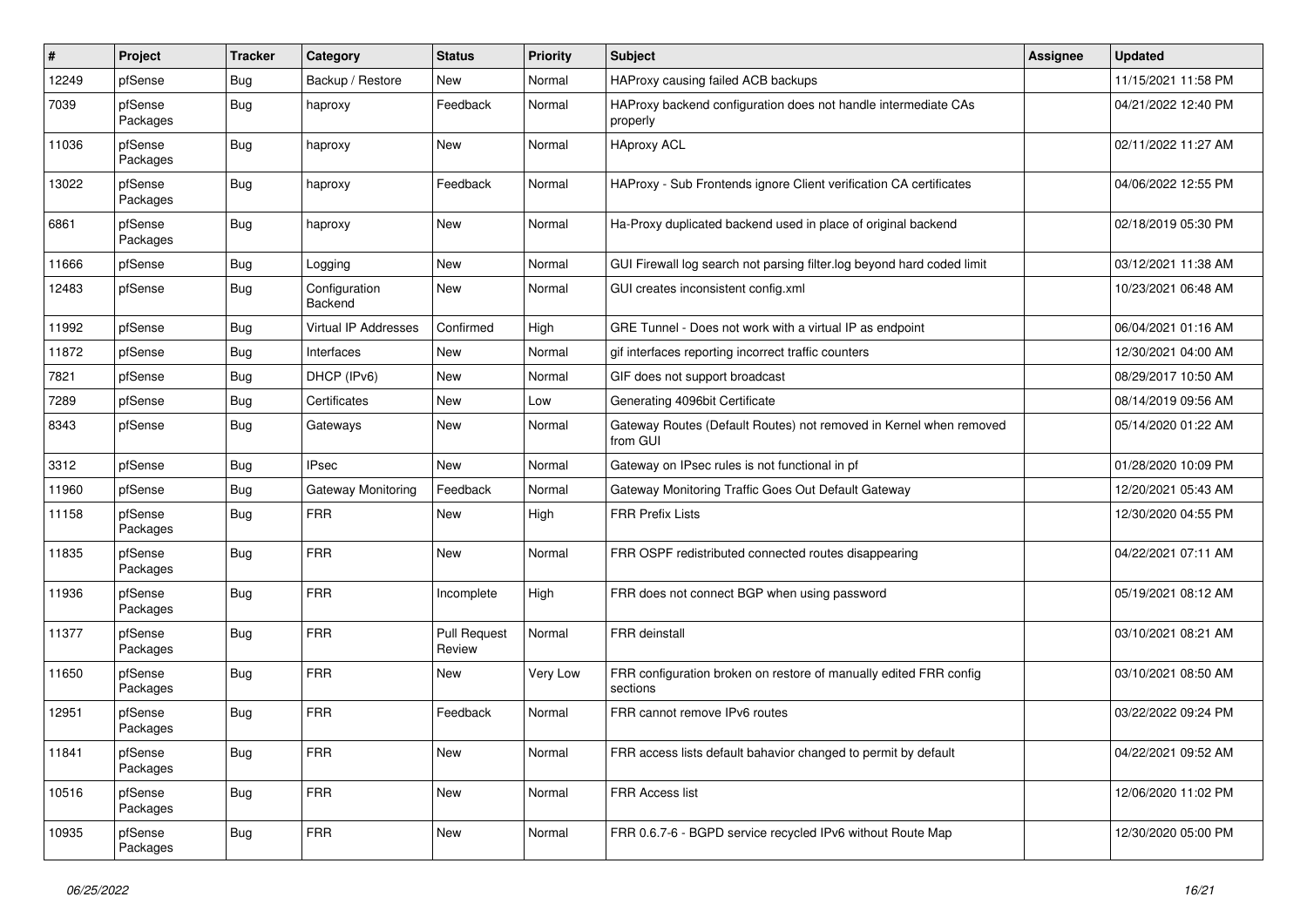| #     | Project             | <b>Tracker</b> | Category                 | <b>Status</b>                 | <b>Priority</b> | Subject                                                                        | <b>Assignee</b> | <b>Updated</b>      |
|-------|---------------------|----------------|--------------------------|-------------------------------|-----------------|--------------------------------------------------------------------------------|-----------------|---------------------|
| 12249 | pfSense             | Bug            | Backup / Restore         | <b>New</b>                    | Normal          | HAProxy causing failed ACB backups                                             |                 | 11/15/2021 11:58 PM |
| 7039  | pfSense<br>Packages | Bug            | haproxy                  | Feedback                      | Normal          | HAProxy backend configuration does not handle intermediate CAs<br>properly     |                 | 04/21/2022 12:40 PM |
| 11036 | pfSense<br>Packages | Bug            | haproxy                  | <b>New</b>                    | Normal          | <b>HAproxy ACL</b>                                                             |                 | 02/11/2022 11:27 AM |
| 13022 | pfSense<br>Packages | <b>Bug</b>     | haproxy                  | Feedback                      | Normal          | HAProxy - Sub Frontends ignore Client verification CA certificates             |                 | 04/06/2022 12:55 PM |
| 6861  | pfSense<br>Packages | <b>Bug</b>     | haproxy                  | <b>New</b>                    | Normal          | Ha-Proxy duplicated backend used in place of original backend                  |                 | 02/18/2019 05:30 PM |
| 11666 | pfSense             | Bug            | Logging                  | <b>New</b>                    | Normal          | GUI Firewall log search not parsing filter.log beyond hard coded limit         |                 | 03/12/2021 11:38 AM |
| 12483 | pfSense             | Bug            | Configuration<br>Backend | New                           | Normal          | GUI creates inconsistent config.xml                                            |                 | 10/23/2021 06:48 AM |
| 11992 | pfSense             | <b>Bug</b>     | Virtual IP Addresses     | Confirmed                     | High            | GRE Tunnel - Does not work with a virtual IP as endpoint                       |                 | 06/04/2021 01:16 AM |
| 11872 | pfSense             | Bug            | Interfaces               | New                           | Normal          | gif interfaces reporting incorrect traffic counters                            |                 | 12/30/2021 04:00 AM |
| 7821  | pfSense             | Bug            | DHCP (IPv6)              | <b>New</b>                    | Normal          | GIF does not support broadcast                                                 |                 | 08/29/2017 10:50 AM |
| 7289  | pfSense             | Bug            | Certificates             | <b>New</b>                    | Low             | Generating 4096bit Certificate                                                 |                 | 08/14/2019 09:56 AM |
| 8343  | pfSense             | <b>Bug</b>     | Gateways                 | New                           | Normal          | Gateway Routes (Default Routes) not removed in Kernel when removed<br>from GUI |                 | 05/14/2020 01:22 AM |
| 3312  | pfSense             | Bug            | <b>IPsec</b>             | New                           | Normal          | Gateway on IPsec rules is not functional in pf                                 |                 | 01/28/2020 10:09 PM |
| 11960 | pfSense             | <b>Bug</b>     | Gateway Monitoring       | Feedback                      | Normal          | Gateway Monitoring Traffic Goes Out Default Gateway                            |                 | 12/20/2021 05:43 AM |
| 11158 | pfSense<br>Packages | Bug            | <b>FRR</b>               | New                           | High            | <b>FRR Prefix Lists</b>                                                        |                 | 12/30/2020 04:55 PM |
| 11835 | pfSense<br>Packages | Bug            | <b>FRR</b>               | <b>New</b>                    | Normal          | FRR OSPF redistributed connected routes disappearing                           |                 | 04/22/2021 07:11 AM |
| 11936 | pfSense<br>Packages | Bug            | <b>FRR</b>               | Incomplete                    | High            | FRR does not connect BGP when using password                                   |                 | 05/19/2021 08:12 AM |
| 11377 | pfSense<br>Packages | <b>Bug</b>     | <b>FRR</b>               | <b>Pull Request</b><br>Review | Normal          | <b>FRR</b> deinstall                                                           |                 | 03/10/2021 08:21 AM |
| 11650 | pfSense<br>Packages | Bug            | <b>FRR</b>               | <b>New</b>                    | Very Low        | FRR configuration broken on restore of manually edited FRR config<br>sections  |                 | 03/10/2021 08:50 AM |
| 12951 | pfSense<br>Packages | Bug            | <b>FRR</b>               | Feedback                      | Normal          | FRR cannot remove IPv6 routes                                                  |                 | 03/22/2022 09:24 PM |
| 11841 | pfSense<br>Packages | <b>Bug</b>     | <b>FRR</b>               | New                           | Normal          | FRR access lists default bahavior changed to permit by default                 |                 | 04/22/2021 09:52 AM |
| 10516 | pfSense<br>Packages | Bug            | <b>FRR</b>               | New                           | Normal          | FRR Access list                                                                |                 | 12/06/2020 11:02 PM |
| 10935 | pfSense<br>Packages | <b>Bug</b>     | <b>FRR</b>               | New                           | Normal          | FRR 0.6.7-6 - BGPD service recycled IPv6 without Route Map                     |                 | 12/30/2020 05:00 PM |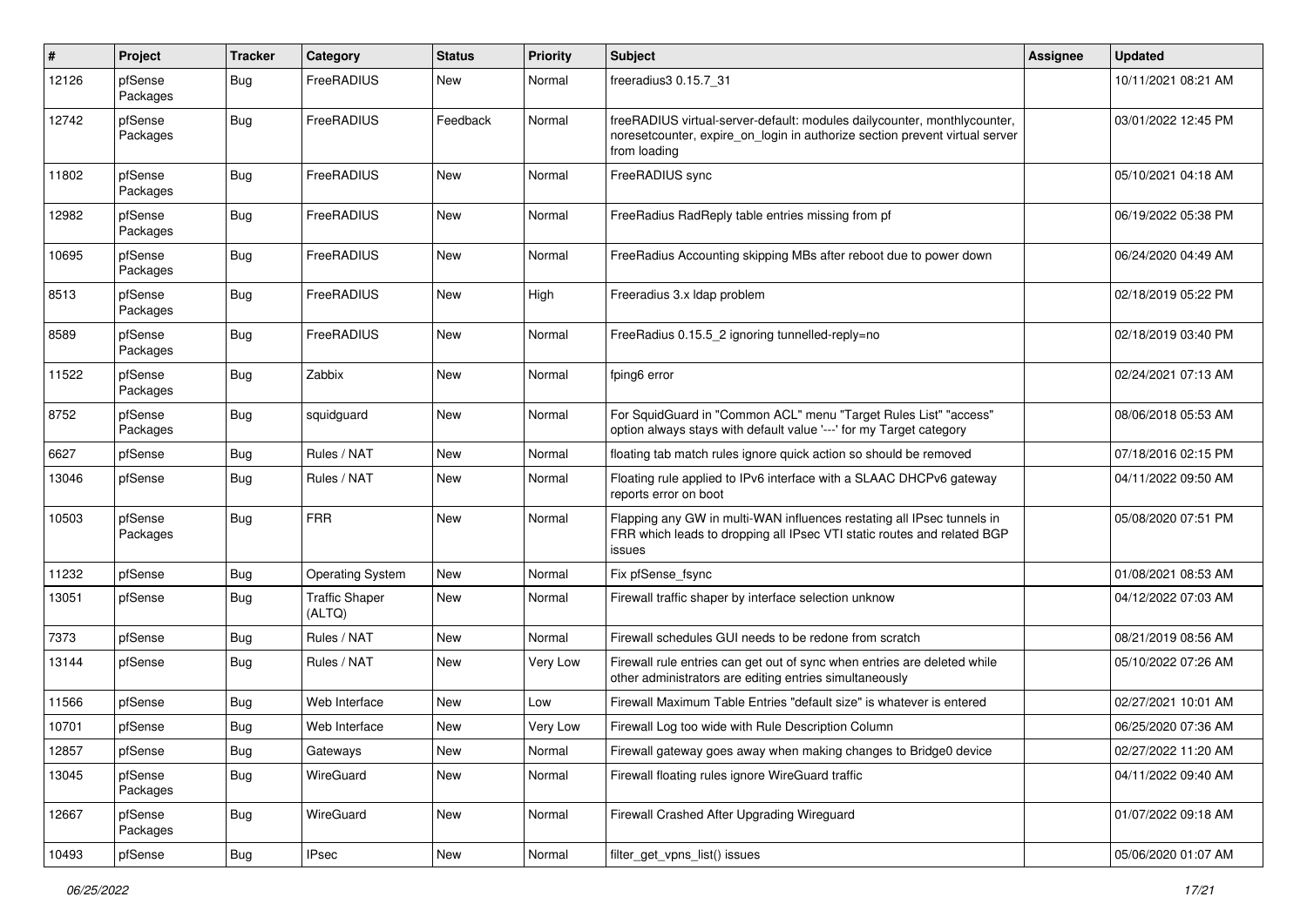| $\sharp$ | Project             | <b>Tracker</b>   | Category                        | <b>Status</b> | <b>Priority</b> | <b>Subject</b>                                                                                                                                                           | Assignee | <b>Updated</b>      |
|----------|---------------------|------------------|---------------------------------|---------------|-----------------|--------------------------------------------------------------------------------------------------------------------------------------------------------------------------|----------|---------------------|
| 12126    | pfSense<br>Packages | Bug              | FreeRADIUS                      | New           | Normal          | freeradius3 0.15.7 31                                                                                                                                                    |          | 10/11/2021 08:21 AM |
| 12742    | pfSense<br>Packages | <b>Bug</b>       | FreeRADIUS                      | Feedback      | Normal          | freeRADIUS virtual-server-default: modules dailycounter, monthlycounter,<br>noreset counter, expire on login in authorize section prevent virtual server<br>from loading |          | 03/01/2022 12:45 PM |
| 11802    | pfSense<br>Packages | <b>Bug</b>       | FreeRADIUS                      | New           | Normal          | FreeRADIUS sync                                                                                                                                                          |          | 05/10/2021 04:18 AM |
| 12982    | pfSense<br>Packages | <b>Bug</b>       | FreeRADIUS                      | <b>New</b>    | Normal          | FreeRadius RadReply table entries missing from pf                                                                                                                        |          | 06/19/2022 05:38 PM |
| 10695    | pfSense<br>Packages | <b>Bug</b>       | FreeRADIUS                      | New           | Normal          | FreeRadius Accounting skipping MBs after reboot due to power down                                                                                                        |          | 06/24/2020 04:49 AM |
| 8513     | pfSense<br>Packages | <b>Bug</b>       | FreeRADIUS                      | New           | High            | Freeradius 3.x Idap problem                                                                                                                                              |          | 02/18/2019 05:22 PM |
| 8589     | pfSense<br>Packages | <b>Bug</b>       | FreeRADIUS                      | <b>New</b>    | Normal          | FreeRadius 0.15.5 2 ignoring tunnelled-reply=no                                                                                                                          |          | 02/18/2019 03:40 PM |
| 11522    | pfSense<br>Packages | <b>Bug</b>       | Zabbix                          | New           | Normal          | fping6 error                                                                                                                                                             |          | 02/24/2021 07:13 AM |
| 8752     | pfSense<br>Packages | Bug              | squidguard                      | New           | Normal          | For SquidGuard in "Common ACL" menu "Target Rules List" "access"<br>option always stays with default value '---' for my Target category                                  |          | 08/06/2018 05:53 AM |
| 6627     | pfSense             | <b>Bug</b>       | Rules / NAT                     | New           | Normal          | floating tab match rules ignore quick action so should be removed                                                                                                        |          | 07/18/2016 02:15 PM |
| 13046    | pfSense             | Bug              | Rules / NAT                     | <b>New</b>    | Normal          | Floating rule applied to IPv6 interface with a SLAAC DHCPv6 gateway<br>reports error on boot                                                                             |          | 04/11/2022 09:50 AM |
| 10503    | pfSense<br>Packages | Bug              | <b>FRR</b>                      | New           | Normal          | Flapping any GW in multi-WAN influences restating all IPsec tunnels in<br>FRR which leads to dropping all IPsec VTI static routes and related BGP<br>issues              |          | 05/08/2020 07:51 PM |
| 11232    | pfSense             | <b>Bug</b>       | <b>Operating System</b>         | <b>New</b>    | Normal          | Fix pfSense_fsync                                                                                                                                                        |          | 01/08/2021 08:53 AM |
| 13051    | pfSense             | <b>Bug</b>       | <b>Traffic Shaper</b><br>(ALTQ) | New           | Normal          | Firewall traffic shaper by interface selection unknow                                                                                                                    |          | 04/12/2022 07:03 AM |
| 7373     | pfSense             | <b>Bug</b>       | Rules / NAT                     | <b>New</b>    | Normal          | Firewall schedules GUI needs to be redone from scratch                                                                                                                   |          | 08/21/2019 08:56 AM |
| 13144    | pfSense             | <b>Bug</b>       | Rules / NAT                     | <b>New</b>    | Very Low        | Firewall rule entries can get out of sync when entries are deleted while<br>other administrators are editing entries simultaneously                                      |          | 05/10/2022 07:26 AM |
| 11566    | pfSense             | Bug              | Web Interface                   | <b>New</b>    | Low             | Firewall Maximum Table Entries "default size" is whatever is entered                                                                                                     |          | 02/27/2021 10:01 AM |
| 10701    | pfSense             | Bug              | Web Interface                   | New           | Very Low        | Firewall Log too wide with Rule Description Column                                                                                                                       |          | 06/25/2020 07:36 AM |
| 12857    | pfSense             | <b>Bug</b>       | Gateways                        | New           | Normal          | Firewall gateway goes away when making changes to Bridge0 device                                                                                                         |          | 02/27/2022 11:20 AM |
| 13045    | pfSense<br>Packages | <b>Bug</b>       | WireGuard                       | New           | Normal          | Firewall floating rules ignore WireGuard traffic                                                                                                                         |          | 04/11/2022 09:40 AM |
| 12667    | pfSense<br>Packages | <b>Bug</b>       | WireGuard                       | New           | Normal          | Firewall Crashed After Upgrading Wireguard                                                                                                                               |          | 01/07/2022 09:18 AM |
| 10493    | pfSense             | <sub>I</sub> Bug | <b>IPsec</b>                    | New           | Normal          | filter_get_vpns_list() issues                                                                                                                                            |          | 05/06/2020 01:07 AM |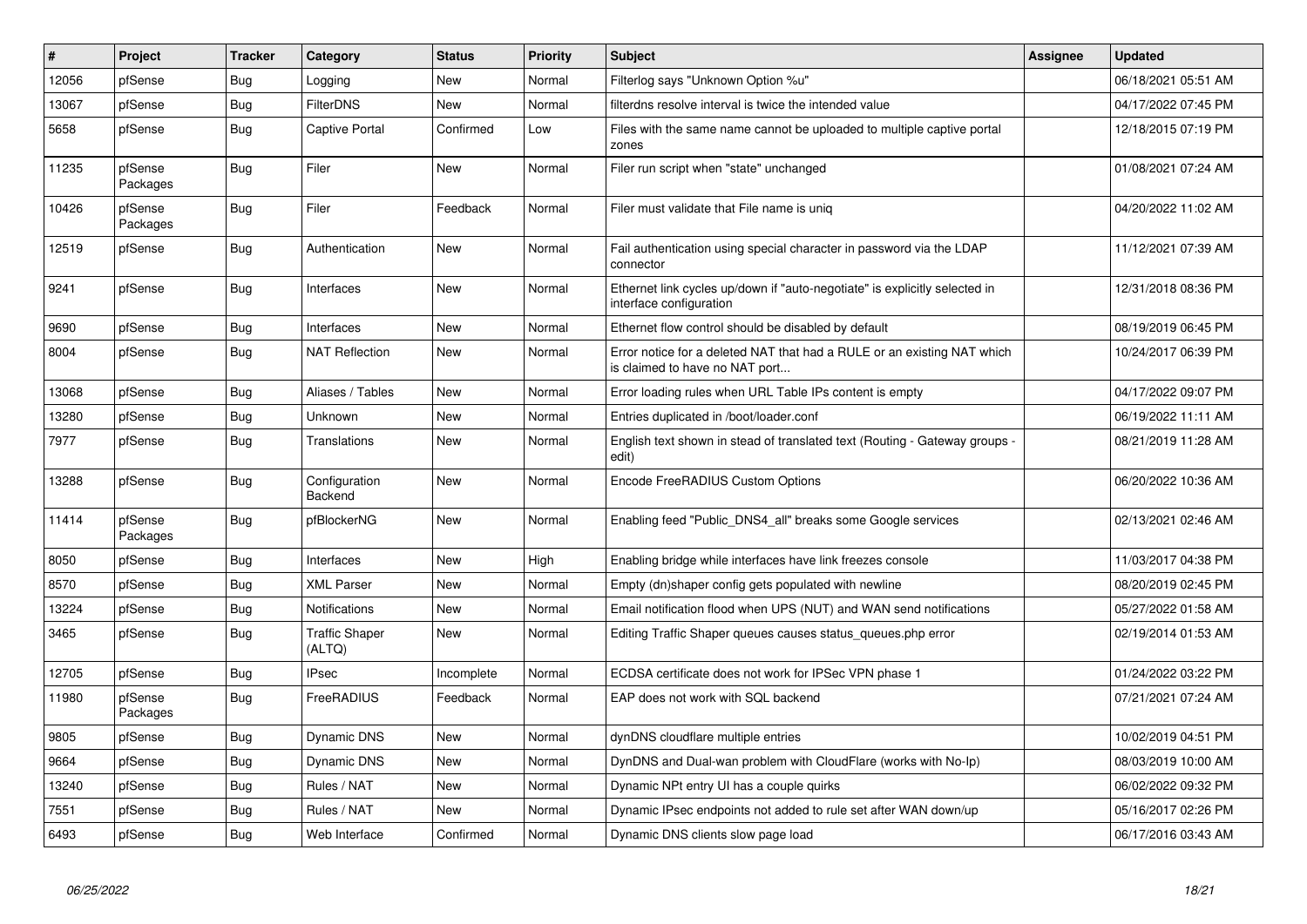| $\vert$ # | Project             | <b>Tracker</b> | Category                        | <b>Status</b> | <b>Priority</b> | <b>Subject</b>                                                                                            | <b>Assignee</b> | <b>Updated</b>      |
|-----------|---------------------|----------------|---------------------------------|---------------|-----------------|-----------------------------------------------------------------------------------------------------------|-----------------|---------------------|
| 12056     | pfSense             | <b>Bug</b>     | Logging                         | <b>New</b>    | Normal          | Filterlog says "Unknown Option %u"                                                                        |                 | 06/18/2021 05:51 AM |
| 13067     | pfSense             | <b>Bug</b>     | <b>FilterDNS</b>                | <b>New</b>    | Normal          | filterdns resolve interval is twice the intended value                                                    |                 | 04/17/2022 07:45 PM |
| 5658      | pfSense             | <b>Bug</b>     | <b>Captive Portal</b>           | Confirmed     | Low             | Files with the same name cannot be uploaded to multiple captive portal<br>zones                           |                 | 12/18/2015 07:19 PM |
| 11235     | pfSense<br>Packages | <b>Bug</b>     | Filer                           | New           | Normal          | Filer run script when "state" unchanged                                                                   |                 | 01/08/2021 07:24 AM |
| 10426     | pfSense<br>Packages | Bug            | Filer                           | Feedback      | Normal          | Filer must validate that File name is uniq                                                                |                 | 04/20/2022 11:02 AM |
| 12519     | pfSense             | Bug            | Authentication                  | New           | Normal          | Fail authentication using special character in password via the LDAP<br>connector                         |                 | 11/12/2021 07:39 AM |
| 9241      | pfSense             | Bug            | Interfaces                      | New           | Normal          | Ethernet link cycles up/down if "auto-negotiate" is explicitly selected in<br>interface configuration     |                 | 12/31/2018 08:36 PM |
| 9690      | pfSense             | <b>Bug</b>     | Interfaces                      | <b>New</b>    | Normal          | Ethernet flow control should be disabled by default                                                       |                 | 08/19/2019 06:45 PM |
| 8004      | pfSense             | <b>Bug</b>     | <b>NAT Reflection</b>           | New           | Normal          | Error notice for a deleted NAT that had a RULE or an existing NAT which<br>is claimed to have no NAT port |                 | 10/24/2017 06:39 PM |
| 13068     | pfSense             | Bug            | Aliases / Tables                | <b>New</b>    | Normal          | Error loading rules when URL Table IPs content is empty                                                   |                 | 04/17/2022 09:07 PM |
| 13280     | pfSense             | <b>Bug</b>     | Unknown                         | <b>New</b>    | Normal          | Entries duplicated in /boot/loader.conf                                                                   |                 | 06/19/2022 11:11 AM |
| 7977      | pfSense             | <b>Bug</b>     | Translations                    | New           | Normal          | English text shown in stead of translated text (Routing - Gateway groups -<br>edit)                       |                 | 08/21/2019 11:28 AM |
| 13288     | pfSense             | <b>Bug</b>     | Configuration<br>Backend        | <b>New</b>    | Normal          | Encode FreeRADIUS Custom Options                                                                          |                 | 06/20/2022 10:36 AM |
| 11414     | pfSense<br>Packages | <b>Bug</b>     | pfBlockerNG                     | <b>New</b>    | Normal          | Enabling feed "Public_DNS4_all" breaks some Google services                                               |                 | 02/13/2021 02:46 AM |
| 8050      | pfSense             | <b>Bug</b>     | Interfaces                      | New           | High            | Enabling bridge while interfaces have link freezes console                                                |                 | 11/03/2017 04:38 PM |
| 8570      | pfSense             | Bug            | <b>XML Parser</b>               | <b>New</b>    | Normal          | Empty (dn)shaper config gets populated with newline                                                       |                 | 08/20/2019 02:45 PM |
| 13224     | pfSense             | <b>Bug</b>     | <b>Notifications</b>            | <b>New</b>    | Normal          | Email notification flood when UPS (NUT) and WAN send notifications                                        |                 | 05/27/2022 01:58 AM |
| 3465      | pfSense             | Bug            | <b>Traffic Shaper</b><br>(ALTQ) | New           | Normal          | Editing Traffic Shaper queues causes status queues.php error                                              |                 | 02/19/2014 01:53 AM |
| 12705     | pfSense             | <b>Bug</b>     | <b>IPsec</b>                    | Incomplete    | Normal          | ECDSA certificate does not work for IPSec VPN phase 1                                                     |                 | 01/24/2022 03:22 PM |
| 11980     | pfSense<br>Packages | Bug            | FreeRADIUS                      | Feedback      | Normal          | EAP does not work with SQL backend                                                                        |                 | 07/21/2021 07:24 AM |
| 9805      | pfSense             | <b>Bug</b>     | <b>Dynamic DNS</b>              | New           | Normal          | dynDNS cloudflare multiple entries                                                                        |                 | 10/02/2019 04:51 PM |
| 9664      | pfSense             | <b>Bug</b>     | <b>Dynamic DNS</b>              | New           | Normal          | DynDNS and Dual-wan problem with CloudFlare (works with No-Ip)                                            |                 | 08/03/2019 10:00 AM |
| 13240     | pfSense             | Bug            | Rules / NAT                     | New           | Normal          | Dynamic NPt entry UI has a couple quirks                                                                  |                 | 06/02/2022 09:32 PM |
| 7551      | pfSense             | <b>Bug</b>     | Rules / NAT                     | <b>New</b>    | Normal          | Dynamic IPsec endpoints not added to rule set after WAN down/up                                           |                 | 05/16/2017 02:26 PM |
| 6493      | pfSense             | Bug            | Web Interface                   | Confirmed     | Normal          | Dynamic DNS clients slow page load                                                                        |                 | 06/17/2016 03:43 AM |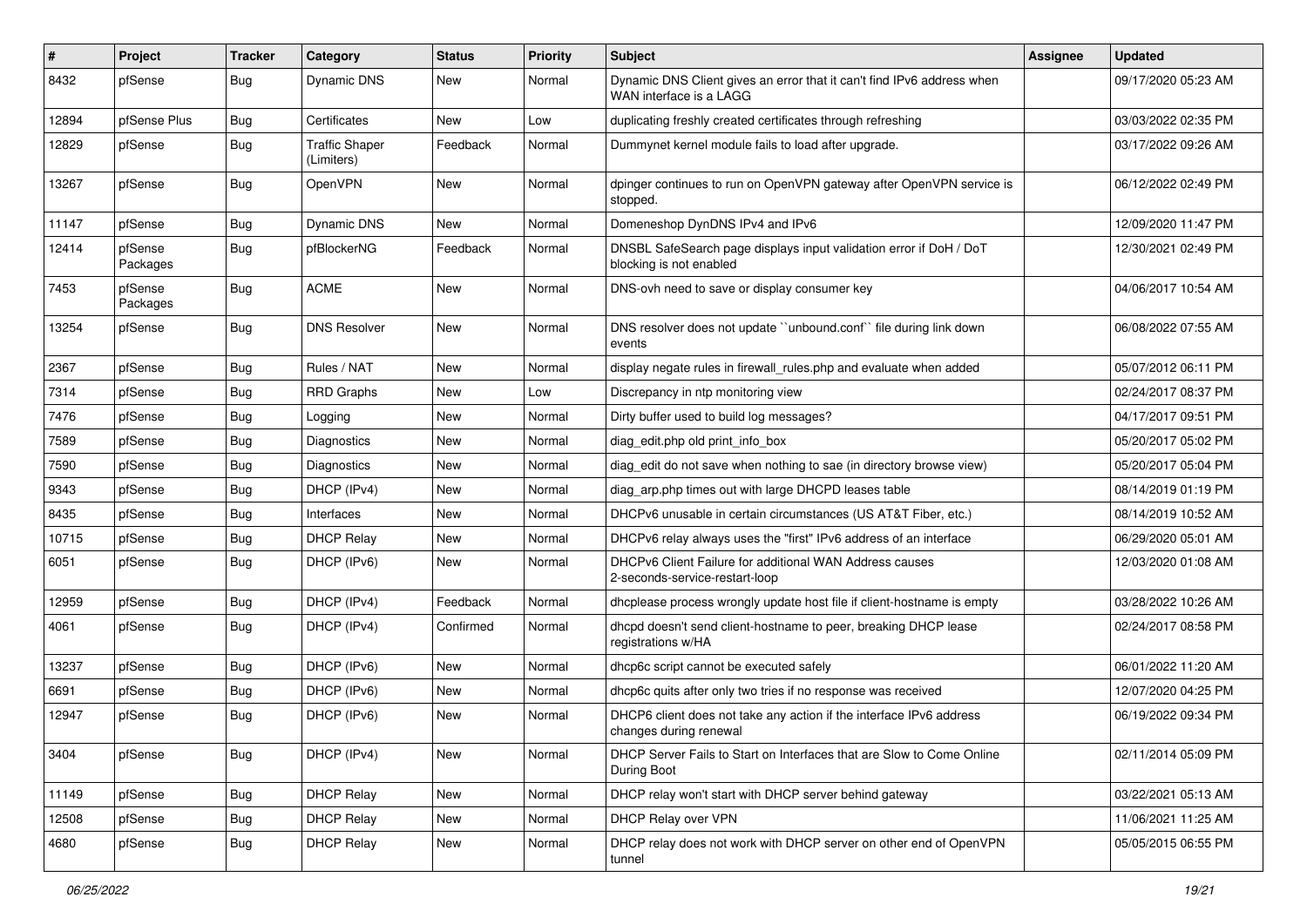| $\vert$ # | Project             | <b>Tracker</b> | Category                            | <b>Status</b> | Priority | <b>Subject</b>                                                                                    | Assignee | <b>Updated</b>      |
|-----------|---------------------|----------------|-------------------------------------|---------------|----------|---------------------------------------------------------------------------------------------------|----------|---------------------|
| 8432      | pfSense             | Bug            | <b>Dynamic DNS</b>                  | <b>New</b>    | Normal   | Dynamic DNS Client gives an error that it can't find IPv6 address when<br>WAN interface is a LAGG |          | 09/17/2020 05:23 AM |
| 12894     | pfSense Plus        | Bug            | Certificates                        | <b>New</b>    | Low      | duplicating freshly created certificates through refreshing                                       |          | 03/03/2022 02:35 PM |
| 12829     | pfSense             | Bug            | <b>Traffic Shaper</b><br>(Limiters) | Feedback      | Normal   | Dummynet kernel module fails to load after upgrade.                                               |          | 03/17/2022 09:26 AM |
| 13267     | pfSense             | <b>Bug</b>     | OpenVPN                             | New           | Normal   | dpinger continues to run on OpenVPN gateway after OpenVPN service is<br>stopped.                  |          | 06/12/2022 02:49 PM |
| 11147     | pfSense             | Bug            | <b>Dynamic DNS</b>                  | <b>New</b>    | Normal   | Domeneshop DynDNS IPv4 and IPv6                                                                   |          | 12/09/2020 11:47 PM |
| 12414     | pfSense<br>Packages | <b>Bug</b>     | pfBlockerNG                         | Feedback      | Normal   | DNSBL SafeSearch page displays input validation error if DoH / DoT<br>blocking is not enabled     |          | 12/30/2021 02:49 PM |
| 7453      | pfSense<br>Packages | <b>Bug</b>     | <b>ACME</b>                         | New           | Normal   | DNS-ovh need to save or display consumer key                                                      |          | 04/06/2017 10:54 AM |
| 13254     | pfSense             | Bug            | <b>DNS Resolver</b>                 | New           | Normal   | DNS resolver does not update "unbound.conf" file during link down<br>events                       |          | 06/08/2022 07:55 AM |
| 2367      | pfSense             | <b>Bug</b>     | Rules / NAT                         | <b>New</b>    | Normal   | display negate rules in firewall rules php and evaluate when added                                |          | 05/07/2012 06:11 PM |
| 7314      | pfSense             | Bug            | <b>RRD Graphs</b>                   | <b>New</b>    | Low      | Discrepancy in ntp monitoring view                                                                |          | 02/24/2017 08:37 PM |
| 7476      | pfSense             | <b>Bug</b>     | Logging                             | New           | Normal   | Dirty buffer used to build log messages?                                                          |          | 04/17/2017 09:51 PM |
| 7589      | pfSense             | <b>Bug</b>     | Diagnostics                         | <b>New</b>    | Normal   | diag edit.php old print info box                                                                  |          | 05/20/2017 05:02 PM |
| 7590      | pfSense             | <b>Bug</b>     | <b>Diagnostics</b>                  | <b>New</b>    | Normal   | diag edit do not save when nothing to sae (in directory browse view)                              |          | 05/20/2017 05:04 PM |
| 9343      | pfSense             | <b>Bug</b>     | DHCP (IPv4)                         | <b>New</b>    | Normal   | diag_arp.php times out with large DHCPD leases table                                              |          | 08/14/2019 01:19 PM |
| 8435      | pfSense             | Bug            | Interfaces                          | <b>New</b>    | Normal   | DHCPv6 unusable in certain circumstances (US AT&T Fiber, etc.)                                    |          | 08/14/2019 10:52 AM |
| 10715     | pfSense             | <b>Bug</b>     | <b>DHCP Relay</b>                   | <b>New</b>    | Normal   | DHCPv6 relay always uses the "first" IPv6 address of an interface                                 |          | 06/29/2020 05:01 AM |
| 6051      | pfSense             | Bug            | DHCP (IPv6)                         | New           | Normal   | DHCPv6 Client Failure for additional WAN Address causes<br>2-seconds-service-restart-loop         |          | 12/03/2020 01:08 AM |
| 12959     | pfSense             | Bug            | DHCP (IPv4)                         | Feedback      | Normal   | dhcplease process wrongly update host file if client-hostname is empty                            |          | 03/28/2022 10:26 AM |
| 4061      | pfSense             | Bug            | DHCP (IPv4)                         | Confirmed     | Normal   | dhcpd doesn't send client-hostname to peer, breaking DHCP lease<br>registrations w/HA             |          | 02/24/2017 08:58 PM |
| 13237     | pfSense             | Bug            | DHCP (IPv6)                         | <b>New</b>    | Normal   | dhcp6c script cannot be executed safely                                                           |          | 06/01/2022 11:20 AM |
| 6691      | pfSense             | Bug            | DHCP (IPv6)                         | <b>New</b>    | Normal   | dhcp6c quits after only two tries if no response was received                                     |          | 12/07/2020 04:25 PM |
| 12947     | pfSense             | Bug            | DHCP (IPv6)                         | <b>New</b>    | Normal   | DHCP6 client does not take any action if the interface IPv6 address<br>changes during renewal     |          | 06/19/2022 09:34 PM |
| 3404      | pfSense             | <b>Bug</b>     | DHCP (IPv4)                         | New           | Normal   | DHCP Server Fails to Start on Interfaces that are Slow to Come Online<br>During Boot              |          | 02/11/2014 05:09 PM |
| 11149     | pfSense             | <b>Bug</b>     | <b>DHCP Relay</b>                   | New           | Normal   | DHCP relay won't start with DHCP server behind gateway                                            |          | 03/22/2021 05:13 AM |
| 12508     | pfSense             | <b>Bug</b>     | <b>DHCP Relay</b>                   | New           | Normal   | DHCP Relay over VPN                                                                               |          | 11/06/2021 11:25 AM |
| 4680      | pfSense             | <b>Bug</b>     | <b>DHCP Relay</b>                   | New           | Normal   | DHCP relay does not work with DHCP server on other end of OpenVPN<br>tunnel                       |          | 05/05/2015 06:55 PM |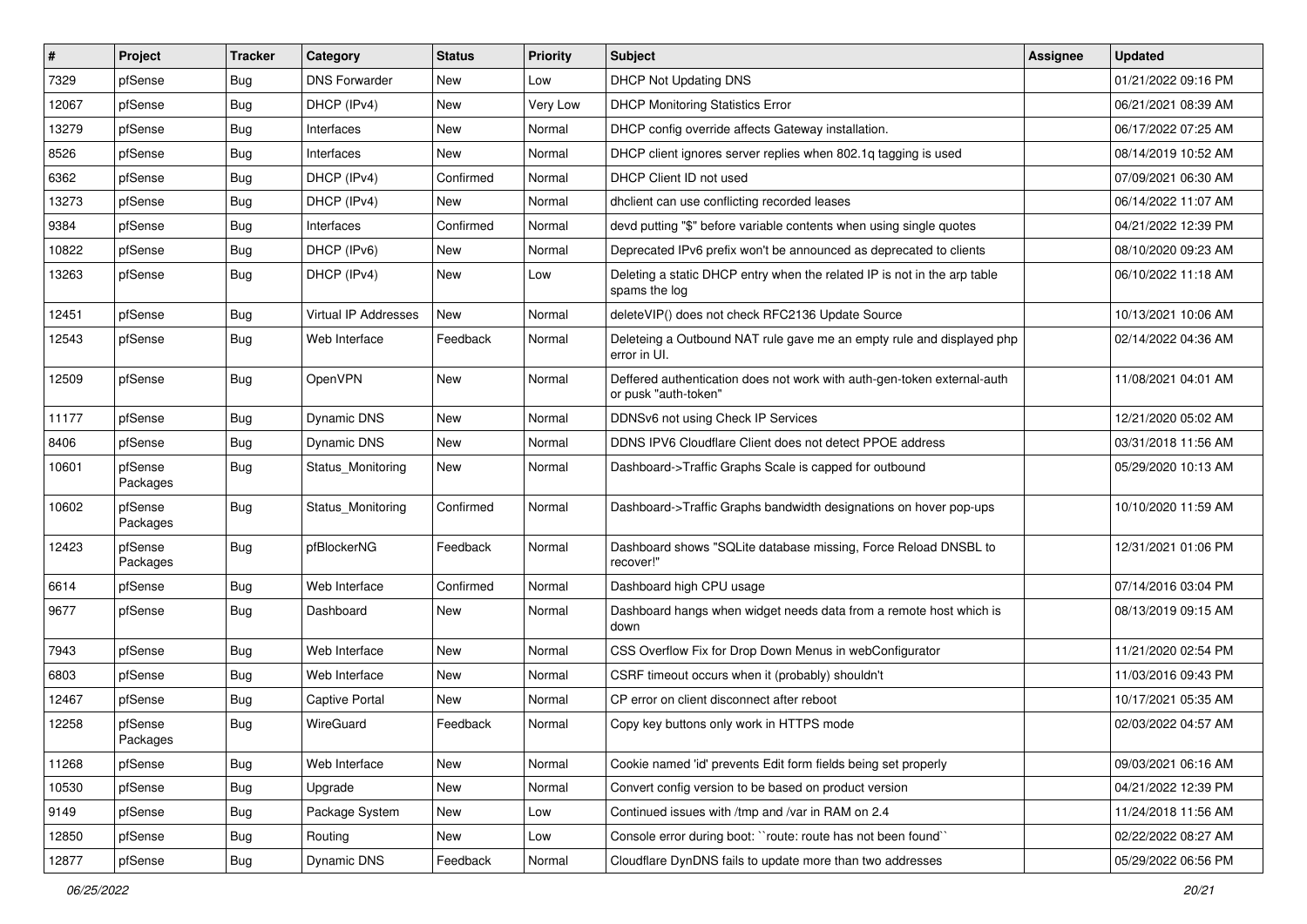| #     | Project             | <b>Tracker</b> | Category              | <b>Status</b> | <b>Priority</b> | Subject                                                                                         | <b>Assignee</b> | <b>Updated</b>      |
|-------|---------------------|----------------|-----------------------|---------------|-----------------|-------------------------------------------------------------------------------------------------|-----------------|---------------------|
| 7329  | pfSense             | <b>Bug</b>     | <b>DNS Forwarder</b>  | New           | Low             | <b>DHCP Not Updating DNS</b>                                                                    |                 | 01/21/2022 09:16 PM |
| 12067 | pfSense             | <b>Bug</b>     | DHCP (IPv4)           | New           | Very Low        | <b>DHCP Monitoring Statistics Error</b>                                                         |                 | 06/21/2021 08:39 AM |
| 13279 | pfSense             | <b>Bug</b>     | Interfaces            | New           | Normal          | DHCP config override affects Gateway installation.                                              |                 | 06/17/2022 07:25 AM |
| 8526  | pfSense             | <b>Bug</b>     | Interfaces            | New           | Normal          | DHCP client ignores server replies when 802.1g tagging is used                                  |                 | 08/14/2019 10:52 AM |
| 6362  | pfSense             | <b>Bug</b>     | DHCP (IPv4)           | Confirmed     | Normal          | DHCP Client ID not used                                                                         |                 | 07/09/2021 06:30 AM |
| 13273 | pfSense             | <b>Bug</b>     | DHCP (IPv4)           | New           | Normal          | dhclient can use conflicting recorded leases                                                    |                 | 06/14/2022 11:07 AM |
| 9384  | pfSense             | <b>Bug</b>     | Interfaces            | Confirmed     | Normal          | devd putting "\$" before variable contents when using single quotes                             |                 | 04/21/2022 12:39 PM |
| 10822 | pfSense             | <b>Bug</b>     | DHCP (IPv6)           | New           | Normal          | Deprecated IPv6 prefix won't be announced as deprecated to clients                              |                 | 08/10/2020 09:23 AM |
| 13263 | pfSense             | <b>Bug</b>     | DHCP (IPv4)           | New           | Low             | Deleting a static DHCP entry when the related IP is not in the arp table<br>spams the log       |                 | 06/10/2022 11:18 AM |
| 12451 | pfSense             | <b>Bug</b>     | Virtual IP Addresses  | New           | Normal          | deleteVIP() does not check RFC2136 Update Source                                                |                 | 10/13/2021 10:06 AM |
| 12543 | pfSense             | Bug            | Web Interface         | Feedback      | Normal          | Deleteing a Outbound NAT rule gave me an empty rule and displayed php<br>error in UI.           |                 | 02/14/2022 04:36 AM |
| 12509 | pfSense             | Bug            | OpenVPN               | New           | Normal          | Deffered authentication does not work with auth-gen-token external-auth<br>or pusk "auth-token" |                 | 11/08/2021 04:01 AM |
| 11177 | pfSense             | <b>Bug</b>     | <b>Dynamic DNS</b>    | New           | Normal          | DDNSv6 not using Check IP Services                                                              |                 | 12/21/2020 05:02 AM |
| 8406  | pfSense             | <b>Bug</b>     | <b>Dynamic DNS</b>    | New           | Normal          | DDNS IPV6 Cloudflare Client does not detect PPOE address                                        |                 | 03/31/2018 11:56 AM |
| 10601 | pfSense<br>Packages | Bug            | Status Monitoring     | New           | Normal          | Dashboard->Traffic Graphs Scale is capped for outbound                                          |                 | 05/29/2020 10:13 AM |
| 10602 | pfSense<br>Packages | Bug            | Status Monitoring     | Confirmed     | Normal          | Dashboard->Traffic Graphs bandwidth designations on hover pop-ups                               |                 | 10/10/2020 11:59 AM |
| 12423 | pfSense<br>Packages | <b>Bug</b>     | pfBlockerNG           | Feedback      | Normal          | Dashboard shows "SQLite database missing, Force Reload DNSBL to<br>recover!"                    |                 | 12/31/2021 01:06 PM |
| 6614  | pfSense             | <b>Bug</b>     | Web Interface         | Confirmed     | Normal          | Dashboard high CPU usage                                                                        |                 | 07/14/2016 03:04 PM |
| 9677  | pfSense             | <b>Bug</b>     | Dashboard             | New           | Normal          | Dashboard hangs when widget needs data from a remote host which is<br>down                      |                 | 08/13/2019 09:15 AM |
| 7943  | pfSense             | <b>Bug</b>     | Web Interface         | New           | Normal          | CSS Overflow Fix for Drop Down Menus in webConfigurator                                         |                 | 11/21/2020 02:54 PM |
| 6803  | pfSense             | <b>Bug</b>     | Web Interface         | New           | Normal          | CSRF timeout occurs when it (probably) shouldn't                                                |                 | 11/03/2016 09:43 PM |
| 12467 | pfSense             | <b>Bug</b>     | <b>Captive Portal</b> | New           | Normal          | CP error on client disconnect after reboot                                                      |                 | 10/17/2021 05:35 AM |
| 12258 | pfSense<br>Packages | <b>Bug</b>     | WireGuard             | Feedback      | Normal          | Copy key buttons only work in HTTPS mode                                                        |                 | 02/03/2022 04:57 AM |
| 11268 | pfSense             | <b>Bug</b>     | Web Interface         | New           | Normal          | Cookie named 'id' prevents Edit form fields being set properly                                  |                 | 09/03/2021 06:16 AM |
| 10530 | pfSense             | <b>Bug</b>     | Upgrade               | New           | Normal          | Convert config version to be based on product version                                           |                 | 04/21/2022 12:39 PM |
| 9149  | pfSense             | <b>Bug</b>     | Package System        | New           | Low             | Continued issues with /tmp and /var in RAM on 2.4                                               |                 | 11/24/2018 11:56 AM |
| 12850 | pfSense             | <b>Bug</b>     | Routing               | New           | Low             | Console error during boot: "route: route has not been found"                                    |                 | 02/22/2022 08:27 AM |
| 12877 | pfSense             | Bug            | Dynamic DNS           | Feedback      | Normal          | Cloudflare DynDNS fails to update more than two addresses                                       |                 | 05/29/2022 06:56 PM |